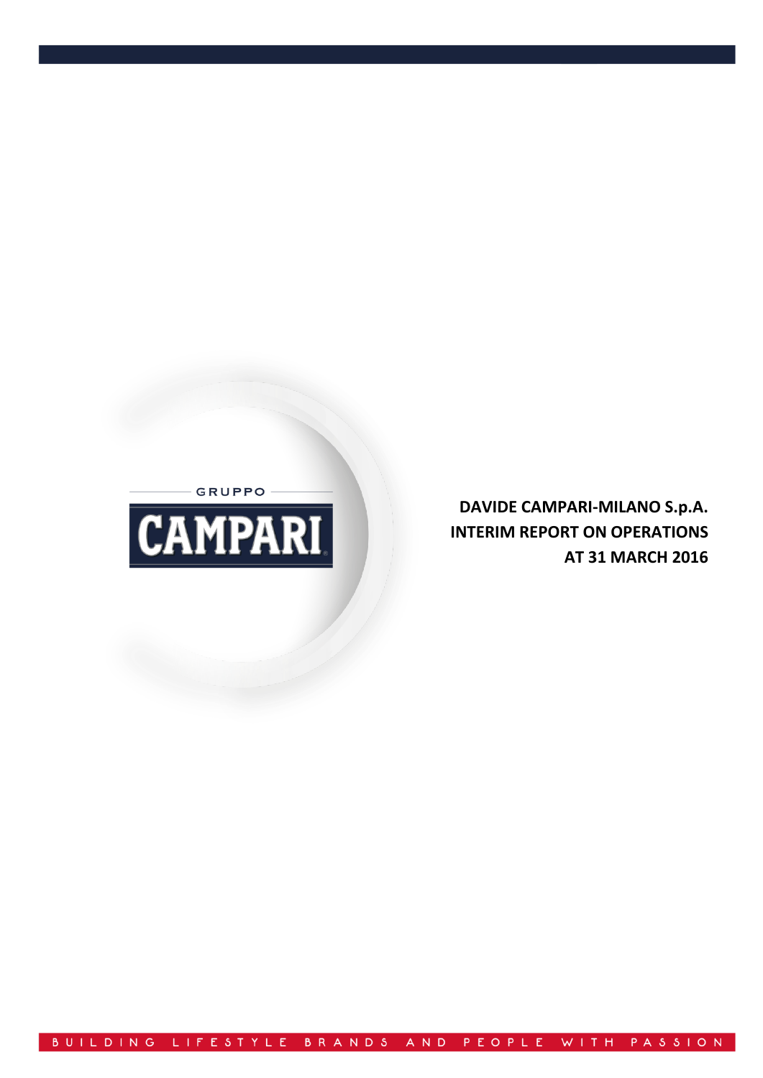$-$  GRUPPO  $-$ 



**DAVIDE CAMPARI-MILANO S.p.A. INTERIM REPORT ON OPERATIONS AT 31 MARCH 2016**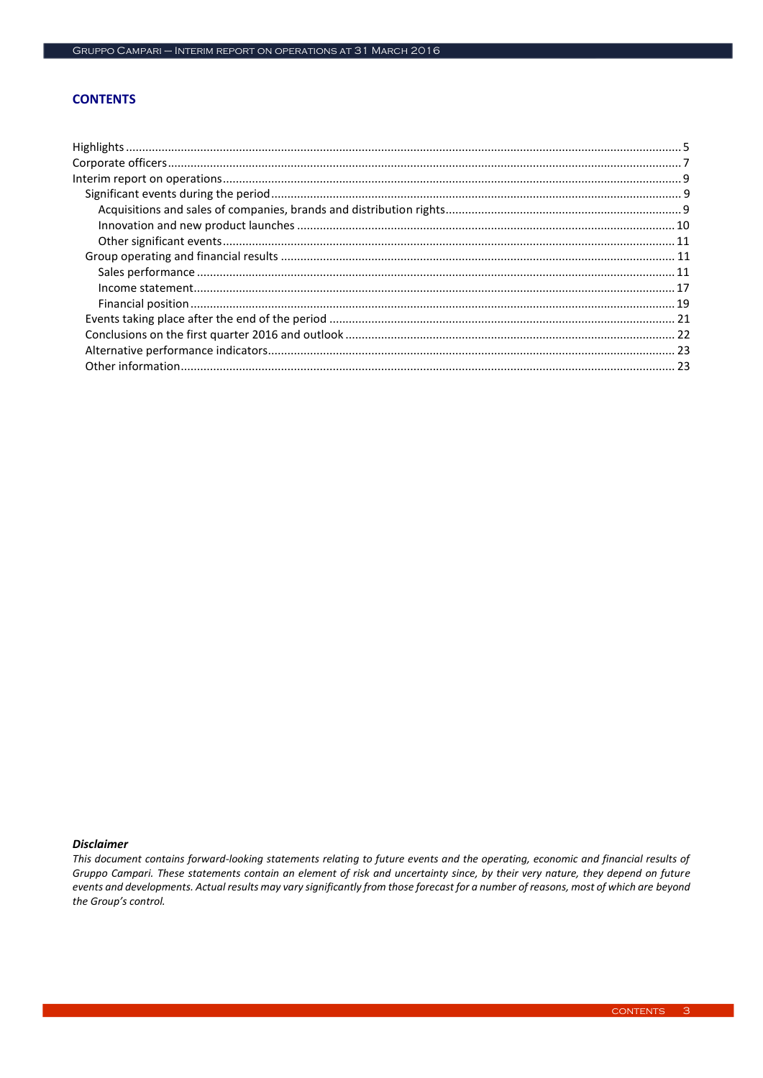# **CONTENTS**

#### **Disclaimer**

This document contains forward-looking statements relating to future events and the operating, economic and financial results of Gruppo Campari. These statements contain an element of risk and uncertainty since, by their very nature, they depend on future events and developments. Actual results may vary significantly from those forecast for a number of reasons, most of which are beyond the Group's control.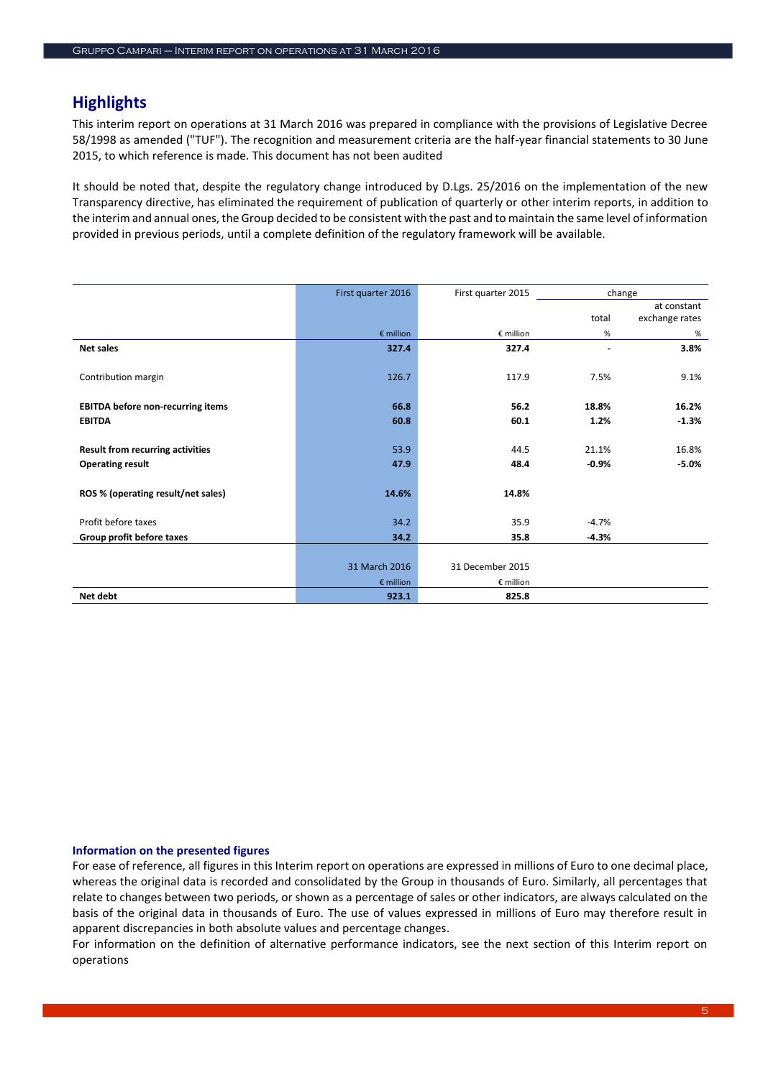# **Highlights**

This interim report on operations at 31 March 2016 was prepared in compliance with the provisions of Legislative Decree 58/1998 as amended ("TUF"). The recognition and measurement criteria are the half-year financial statements to 30 June 2015, to which reference is made. This document has not been audited

It should be noted that, despite the regulatory change introduced by D.Lgs. 25/2016 on the implementation of the new Transparency directive, has eliminated the requirement of publication of quarterly or other interim reports, in addition to the interim and annual ones, the Group decided to be consistent with the past and to maintain the same level of information provided in previous periods, until a complete definition of the regulatory framework will be available.

|                                          | First quarter 2016 | First quarter 2015 |         | change         |
|------------------------------------------|--------------------|--------------------|---------|----------------|
|                                          |                    |                    |         | at constant    |
|                                          |                    |                    | total   | exchange rates |
|                                          | $\epsilon$ million | € million          | %       | %              |
| <b>Net sales</b>                         | 327.4              | 327.4              |         | 3.8%           |
|                                          |                    |                    |         |                |
| Contribution margin                      | 126.7              | 117.9              | 7.5%    | 9.1%           |
|                                          |                    |                    |         |                |
| <b>EBITDA before non-recurring items</b> | 66.8               | 56.2               | 18.8%   | 16.2%          |
| <b>EBITDA</b>                            | 60.8               | 60.1               | 1.2%    | $-1.3%$        |
|                                          |                    |                    |         |                |
| <b>Result from recurring activities</b>  | 53.9               | 44.5               | 21.1%   | 16.8%          |
| <b>Operating result</b>                  | 47.9               | 48.4               | $-0.9%$ | $-5.0%$        |
|                                          |                    |                    |         |                |
| ROS % (operating result/net sales)       | 14.6%              | 14.8%              |         |                |
|                                          |                    |                    |         |                |
| Profit before taxes                      | 34.2               | 35.9               | $-4.7%$ |                |
| Group profit before taxes                | 34.2               | 35.8               | $-4.3%$ |                |
|                                          |                    |                    |         |                |
|                                          | 31 March 2016      | 31 December 2015   |         |                |
|                                          | $\epsilon$ million | € million          |         |                |
| Net debt                                 | 923.1              | 825.8              |         |                |

# **Information on the presented figures**

For ease of reference, all figures in this Interim report on operations are expressed in millions of Euro to one decimal place, whereas the original data is recorded and consolidated by the Group in thousands of Euro. Similarly, all percentages that relate to changes between two periods, or shown as a percentage of sales or other indicators, are always calculated on the basis of the original data in thousands of Euro. The use of values expressed in millions of Euro may therefore result in apparent discrepancies in both absolute values and percentage changes.

For information on the definition of alternative performance indicators, see the next section of this Interim report on operations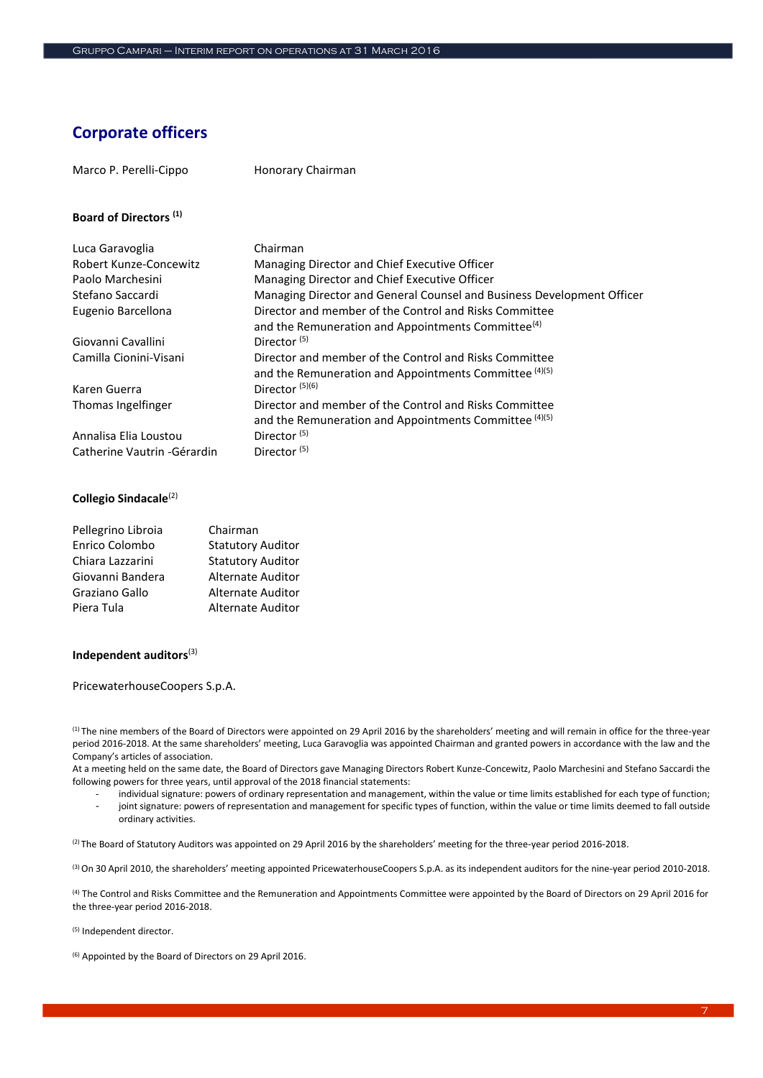# **Corporate officers**

| Marco P. Perelli-Cippo            | Honorary Chairman                                                                                                        |
|-----------------------------------|--------------------------------------------------------------------------------------------------------------------------|
| Board of Directors <sup>(1)</sup> |                                                                                                                          |
| Luca Garavoglia                   | Chairman                                                                                                                 |
| Robert Kunze-Concewitz            | Managing Director and Chief Executive Officer                                                                            |
| Paolo Marchesini                  | Managing Director and Chief Executive Officer                                                                            |
| Stefano Saccardi                  | Managing Director and General Counsel and Business Development Officer                                                   |
| Eugenio Barcellona                | Director and member of the Control and Risks Committee<br>and the Remuneration and Appointments Committee <sup>(4)</sup> |
| Giovanni Cavallini                | Director <sup>(5)</sup>                                                                                                  |
| Camilla Cionini-Visani            | Director and member of the Control and Risks Committee<br>and the Remuneration and Appointments Committee (4)(5)         |
| Karen Guerra                      | Director $(5)(6)$                                                                                                        |
| Thomas Ingelfinger                | Director and member of the Control and Risks Committee<br>and the Remuneration and Appointments Committee (4)(5)         |
| Annalisa Elia Loustou             | Director <sup>(5)</sup>                                                                                                  |
| Catherine Vautrin - Gérardin      | Director <sup>(5)</sup>                                                                                                  |

# **Collegio Sindacale**(2)

| Pellegrino Libroia | Chairman                 |
|--------------------|--------------------------|
| Enrico Colombo     | <b>Statutory Auditor</b> |
| Chiara Lazzarini   | <b>Statutory Auditor</b> |
| Giovanni Bandera   | <b>Alternate Auditor</b> |
| Graziano Gallo     | <b>Alternate Auditor</b> |
| Piera Tula         | <b>Alternate Auditor</b> |

# **Independent auditors**(3)

PricewaterhouseCoopers S.p.A.

(1) The nine members of the Board of Directors were appointed on 29 April 2016 by the shareholders' meeting and will remain in office for the three-year period 2016-2018. At the same shareholders' meeting, Luca Garavoglia was appointed Chairman and granted powers in accordance with the law and the Company's articles of association.

At a meeting held on the same date, the Board of Directors gave Managing Directors Robert Kunze-Concewitz, Paolo Marchesini and Stefano Saccardi the following powers for three years, until approval of the 2018 financial statements:

individual signature: powers of ordinary representation and management, within the value or time limits established for each type of function; - joint signature: powers of representation and management for specific types of function, within the value or time limits deemed to fall outside ordinary activities.

(2) The Board of Statutory Auditors was appointed on 29 April 2016 by the shareholders' meeting for the three-year period 2016-2018.

(3) On 30 April 2010, the shareholders' meeting appointed PricewaterhouseCoopers S.p.A. as its independent auditors for the nine-year period 2010-2018.

(4) The Control and Risks Committee and the Remuneration and Appointments Committee were appointed by the Board of Directors on 29 April 2016 for the three-year period 2016-2018.

(5) Independent director.

(6) Appointed by the Board of Directors on 29 April 2016.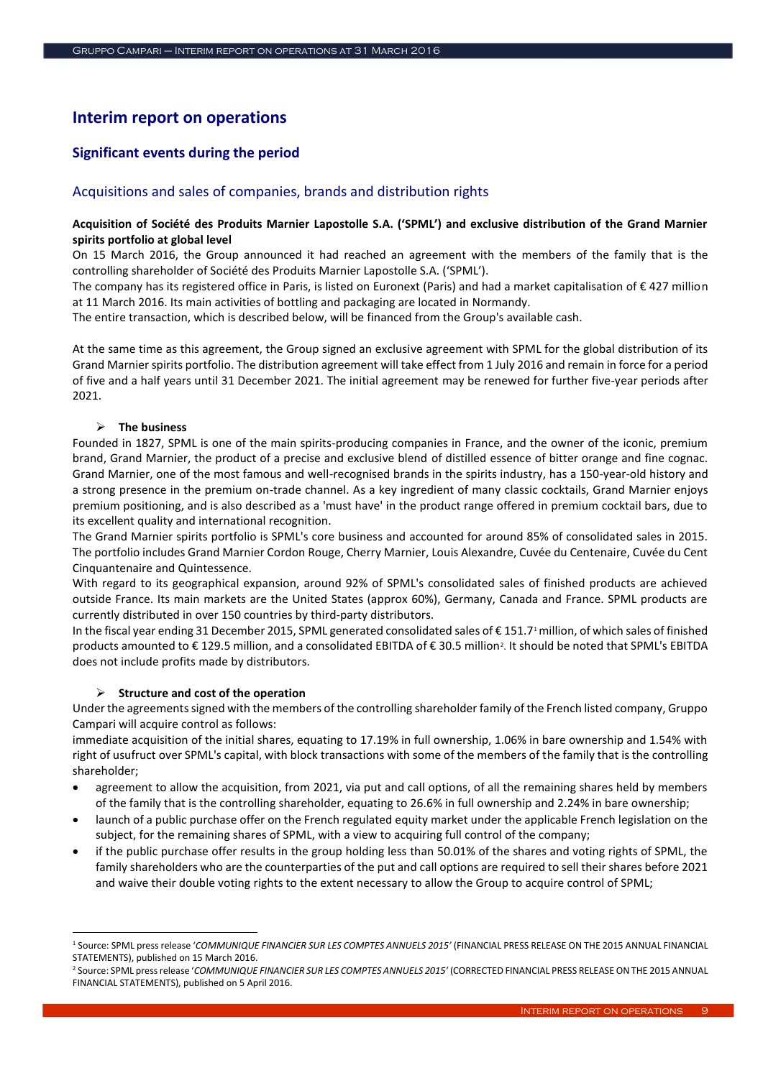# **Interim report on operations**

# **Significant events during the period**

# Acquisitions and sales of companies, brands and distribution rights

# **Acquisition of Société des Produits Marnier Lapostolle S.A. ('SPML') and exclusive distribution of the Grand Marnier spirits portfolio at global level**

On 15 March 2016, the Group announced it had reached an agreement with the members of the family that is the controlling shareholder of Société des Produits Marnier Lapostolle S.A. ('SPML').

The company has its registered office in Paris, is listed on Euronext (Paris) and had a market capitalisation of  $\epsilon$  427 million at 11 March 2016. Its main activities of bottling and packaging are located in Normandy.

The entire transaction, which is described below, will be financed from the Group's available cash.

At the same time as this agreement, the Group signed an exclusive agreement with SPML for the global distribution of its Grand Marnier spirits portfolio. The distribution agreement will take effect from 1 July 2016 and remain in force for a period of five and a half years until 31 December 2021. The initial agreement may be renewed for further five-year periods after 2021.

# **The business**

-

Founded in 1827, SPML is one of the main spirits-producing companies in France, and the owner of the iconic, premium brand, Grand Marnier, the product of a precise and exclusive blend of distilled essence of bitter orange and fine cognac. Grand Marnier, one of the most famous and well-recognised brands in the spirits industry, has a 150-year-old history and a strong presence in the premium on-trade channel. As a key ingredient of many classic cocktails, Grand Marnier enjoys premium positioning, and is also described as a 'must have' in the product range offered in premium cocktail bars, due to its excellent quality and international recognition.

The Grand Marnier spirits portfolio is SPML's core business and accounted for around 85% of consolidated sales in 2015. The portfolio includes Grand Marnier Cordon Rouge, Cherry Marnier, Louis Alexandre, Cuvée du Centenaire, Cuvée du Cent Cinquantenaire and Quintessence.

With regard to its geographical expansion, around 92% of SPML's consolidated sales of finished products are achieved outside France. Its main markets are the United States (approx 60%), Germany, Canada and France. SPML products are currently distributed in over 150 countries by third-party distributors.

In the fiscal year ending 31 December 2015, SPML generated consolidated sales of € 151.7<sup>1</sup> million, of which sales of finished products amounted to € 129.5 million, and a consolidated EBITDA of € 30.5 million<sup>2</sup>. It should be noted that SPML's EBITDA does not include profits made by distributors.

#### **Structure and cost of the operation**

Under the agreements signed with the members of the controlling shareholder family of the French listed company, Gruppo Campari will acquire control as follows:

immediate acquisition of the initial shares, equating to 17.19% in full ownership, 1.06% in bare ownership and 1.54% with right of usufruct over SPML's capital, with block transactions with some of the members of the family that is the controlling shareholder;

- agreement to allow the acquisition, from 2021, via put and call options, of all the remaining shares held by members of the family that is the controlling shareholder, equating to 26.6% in full ownership and 2.24% in bare ownership;
- launch of a public purchase offer on the French regulated equity market under the applicable French legislation on the subject, for the remaining shares of SPML, with a view to acquiring full control of the company;
- if the public purchase offer results in the group holding less than 50.01% of the shares and voting rights of SPML, the family shareholders who are the counterparties of the put and call options are required to sell their shares before 2021 and waive their double voting rights to the extent necessary to allow the Group to acquire control of SPML;

<sup>1</sup> Source: SPML press release '*COMMUNIQUE FINANCIER SUR LES COMPTES ANNUELS 2015'* (FINANCIAL PRESS RELEASE ON THE 2015 ANNUAL FINANCIAL STATEMENTS), published on 15 March 2016.

<sup>2</sup> Source: SPML press release '*COMMUNIQUE FINANCIER SUR LES COMPTES ANNUELS 2015'* (CORRECTED FINANCIAL PRESS RELEASE ON THE 2015 ANNUAL FINANCIAL STATEMENTS), published on 5 April 2016.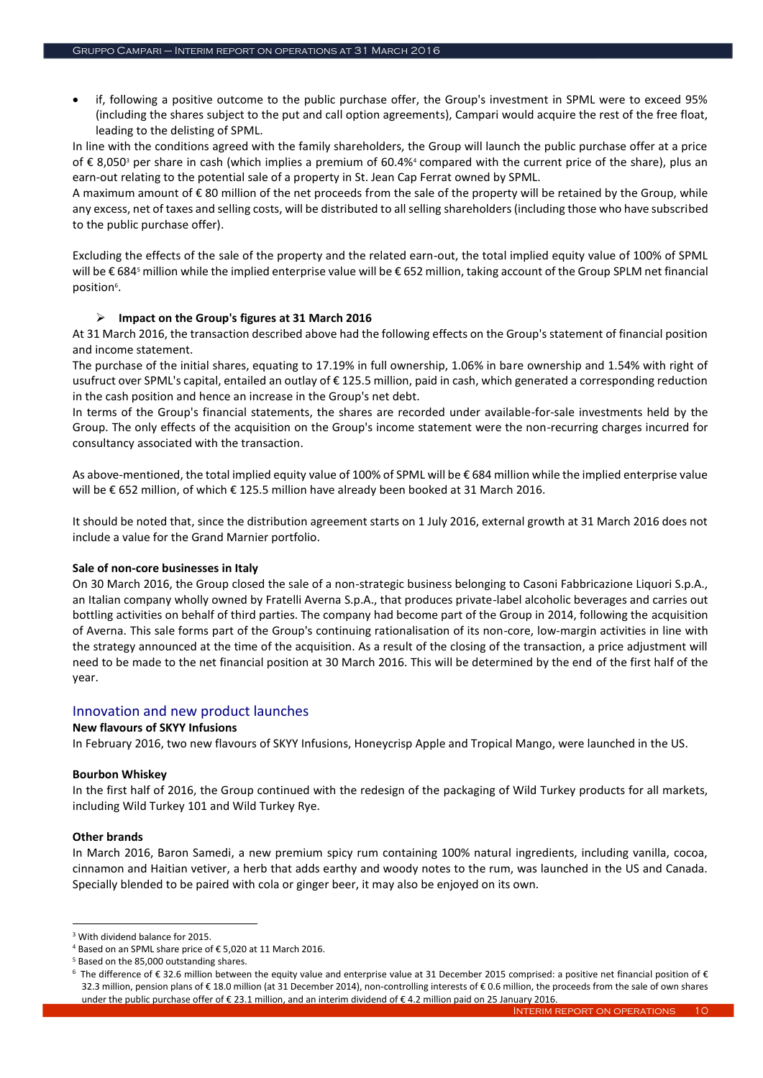if, following a positive outcome to the public purchase offer, the Group's investment in SPML were to exceed 95% (including the shares subject to the put and call option agreements), Campari would acquire the rest of the free float, leading to the delisting of SPML.

In line with the conditions agreed with the family shareholders, the Group will launch the public purchase offer at a price of € 8,050<sup>3</sup> per share in cash (which implies a premium of 60.4%<sup>4</sup> compared with the current price of the share), plus an earn-out relating to the potential sale of a property in St. Jean Cap Ferrat owned by SPML.

A maximum amount of € 80 million of the net proceeds from the sale of the property will be retained by the Group, while any excess, net of taxes and selling costs, will be distributed to all selling shareholders (including those who have subscribed to the public purchase offer).

Excluding the effects of the sale of the property and the related earn-out, the total implied equity value of 100% of SPML will be € 684<sup>5</sup> million while the implied enterprise value will be € 652 million, taking account of the Group SPLM net financial position<sup>6</sup>.

# **Impact on the Group's figures at 31 March 2016**

At 31 March 2016, the transaction described above had the following effects on the Group's statement of financial position and income statement.

The purchase of the initial shares, equating to 17.19% in full ownership, 1.06% in bare ownership and 1.54% with right of usufruct over SPML's capital, entailed an outlay of € 125.5 million, paid in cash, which generated a corresponding reduction in the cash position and hence an increase in the Group's net debt.

In terms of the Group's financial statements, the shares are recorded under available-for-sale investments held by the Group. The only effects of the acquisition on the Group's income statement were the non-recurring charges incurred for consultancy associated with the transaction.

As above-mentioned, the total implied equity value of 100% of SPML will be € 684 million while the implied enterprise value will be € 652 million, of which € 125.5 million have already been booked at 31 March 2016.

It should be noted that, since the distribution agreement starts on 1 July 2016, external growth at 31 March 2016 does not include a value for the Grand Marnier portfolio.

# **Sale of non-core businesses in Italy**

On 30 March 2016, the Group closed the sale of a non-strategic business belonging to Casoni Fabbricazione Liquori S.p.A., an Italian company wholly owned by Fratelli Averna S.p.A., that produces private-label alcoholic beverages and carries out bottling activities on behalf of third parties. The company had become part of the Group in 2014, following the acquisition of Averna. This sale forms part of the Group's continuing rationalisation of its non-core, low-margin activities in line with the strategy announced at the time of the acquisition. As a result of the closing of the transaction, a price adjustment will need to be made to the net financial position at 30 March 2016. This will be determined by the end of the first half of the year.

# Innovation and new product launches

# **New flavours of SKYY Infusions**

In February 2016, two new flavours of SKYY Infusions, Honeycrisp Apple and Tropical Mango, were launched in the US.

# **Bourbon Whiskey**

In the first half of 2016, the Group continued with the redesign of the packaging of Wild Turkey products for all markets, including Wild Turkey 101 and Wild Turkey Rye.

#### **Other brands**

-

In March 2016, Baron Samedi, a new premium spicy rum containing 100% natural ingredients, including vanilla, cocoa, cinnamon and Haitian vetiver, a herb that adds earthy and woody notes to the rum, was launched in the US and Canada. Specially blended to be paired with cola or ginger beer, it may also be enjoyed on its own.

<sup>3</sup> With dividend balance for 2015.

<sup>4</sup> Based on an SPML share price of € 5,020 at 11 March 2016.

<sup>5</sup> Based on the 85,000 outstanding shares.

<sup>6</sup> The difference of €32.6 million between the equity value and enterprise value at 31 December 2015 comprised: a positive net financial position of € 32.3 million, pension plans of € 18.0 million (at 31 December 2014), non-controlling interests of € 0.6 million, the proceeds from the sale of own shares under the public purchase offer of € 23.1 million, and an interim dividend of € 4.2 million paid on 25 January 2016.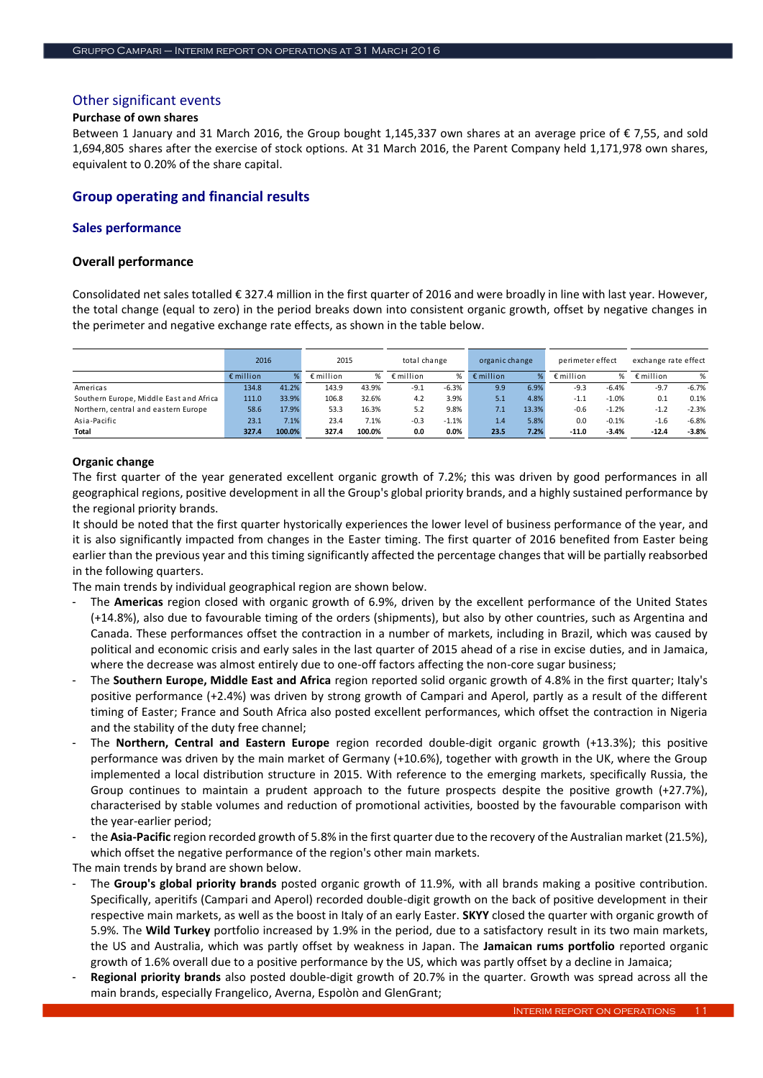# Other significant events

#### **Purchase of own shares**

Between 1 January and 31 March 2016, the Group bought 1,145,337 own shares at an average price of € 7,55, and sold 1,694,805 shares after the exercise of stock options. At 31 March 2016, the Parent Company held 1,171,978 own shares, equivalent to 0.20% of the share capital.

# **Group operating and financial results**

#### **Sales performance**

#### **Overall performance**

Consolidated net sales totalled € 327.4 million in the first quarter of 2016 and were broadly in line with last year. However, the total change (equal to zero) in the period breaks down into consistent organic growth, offset by negative changes in the perimeter and negative exchange rate effects, as shown in the table below.

|                                         | 2016               |        | 2015               |        | total change       |         | organic change     |       | perimeter effect   |         | exchange rate effect |         |
|-----------------------------------------|--------------------|--------|--------------------|--------|--------------------|---------|--------------------|-------|--------------------|---------|----------------------|---------|
|                                         | $\epsilon$ million | ℅      | $\epsilon$ million | %      | $\epsilon$ million | %       | $\epsilon$ million |       | $\epsilon$ million | %       | $\epsilon$ million   | %       |
| Americas                                | 134.8              | 41.2%  | 143.9              | 43.9%  | $-9.1$             | $-6.3%$ | 9.9                | 6.9%  | $-9.3$             | $-6.4%$ | $-9.7$               | $-6.7%$ |
| Southern Europe, Middle East and Africa | 111.0              | 33.9%  | 106.8              | 32.6%  | 4.2                | 3.9%    | 5.1                | 4.8%  | $-1.1$             | $-1.0%$ | 0.1                  | 0.1%    |
| Northern, central and eastern Europe    | 58.6               | 17.9%  | 53.3               | 16.3%  | 5.2                | 9.8%    | 7.1                | 13.3% | $-0.6$             | $-1.2%$ | $-1.2$               | $-2.3%$ |
| Asia-Pacific                            | 23.1               | 7.1%   | 23.4               | 7.1%   | $-0.3$             | $-1.1%$ | 1.4                | 5.8%  | 0.0                | $-0.1%$ | $-1.6$               | $-6.8%$ |
| Total                                   | 327.4              | 100.0% | 327.4              | 100.0% | 0.0                | $0.0\%$ | 23.5               | 7.2%  | $-11.0$            | $-3.4%$ | $-12.4$              | $-3.8%$ |

#### **Organic change**

The first quarter of the year generated excellent organic growth of 7.2%; this was driven by good performances in all geographical regions, positive development in all the Group's global priority brands, and a highly sustained performance by the regional priority brands.

It should be noted that the first quarter hystorically experiences the lower level of business performance of the year, and it is also significantly impacted from changes in the Easter timing. The first quarter of 2016 benefited from Easter being earlier than the previous year and this timing significantly affected the percentage changes that will be partially reabsorbed in the following quarters.

The main trends by individual geographical region are shown below.

- The **Americas** region closed with organic growth of 6.9%, driven by the excellent performance of the United States (+14.8%), also due to favourable timing of the orders (shipments), but also by other countries, such as Argentina and Canada. These performances offset the contraction in a number of markets, including in Brazil, which was caused by political and economic crisis and early sales in the last quarter of 2015 ahead of a rise in excise duties, and in Jamaica, where the decrease was almost entirely due to one-off factors affecting the non-core sugar business;
- The **Southern Europe, Middle East and Africa** region reported solid organic growth of 4.8% in the first quarter; Italy's positive performance (+2.4%) was driven by strong growth of Campari and Aperol, partly as a result of the different timing of Easter; France and South Africa also posted excellent performances, which offset the contraction in Nigeria and the stability of the duty free channel;
- The **Northern, Central and Eastern Europe** region recorded double-digit organic growth (+13.3%); this positive performance was driven by the main market of Germany (+10.6%), together with growth in the UK, where the Group implemented a local distribution structure in 2015. With reference to the emerging markets, specifically Russia, the Group continues to maintain a prudent approach to the future prospects despite the positive growth (+27.7%), characterised by stable volumes and reduction of promotional activities, boosted by the favourable comparison with the year-earlier period;
- the **Asia-Pacific** region recorded growth of 5.8% in the first quarter due to the recovery of the Australian market (21.5%), which offset the negative performance of the region's other main markets.

The main trends by brand are shown below.

- The **Group's global priority brands** posted organic growth of 11.9%, with all brands making a positive contribution. Specifically, aperitifs (Campari and Aperol) recorded double-digit growth on the back of positive development in their respective main markets, as well as the boost in Italy of an early Easter. **SKYY** closed the quarter with organic growth of 5.9%. The **Wild Turkey** portfolio increased by 1.9% in the period, due to a satisfactory result in its two main markets, the US and Australia, which was partly offset by weakness in Japan. The **Jamaican rums portfolio** reported organic growth of 1.6% overall due to a positive performance by the US, which was partly offset by a decline in Jamaica; main tends (and the special of the special of the special of the special organic scale of the special change or the special organic method in the special of the special change of the special organic method in the special
- **Regional priority brands** also posted double-digit growth of 20.7% in the quarter. Growth was spread across all the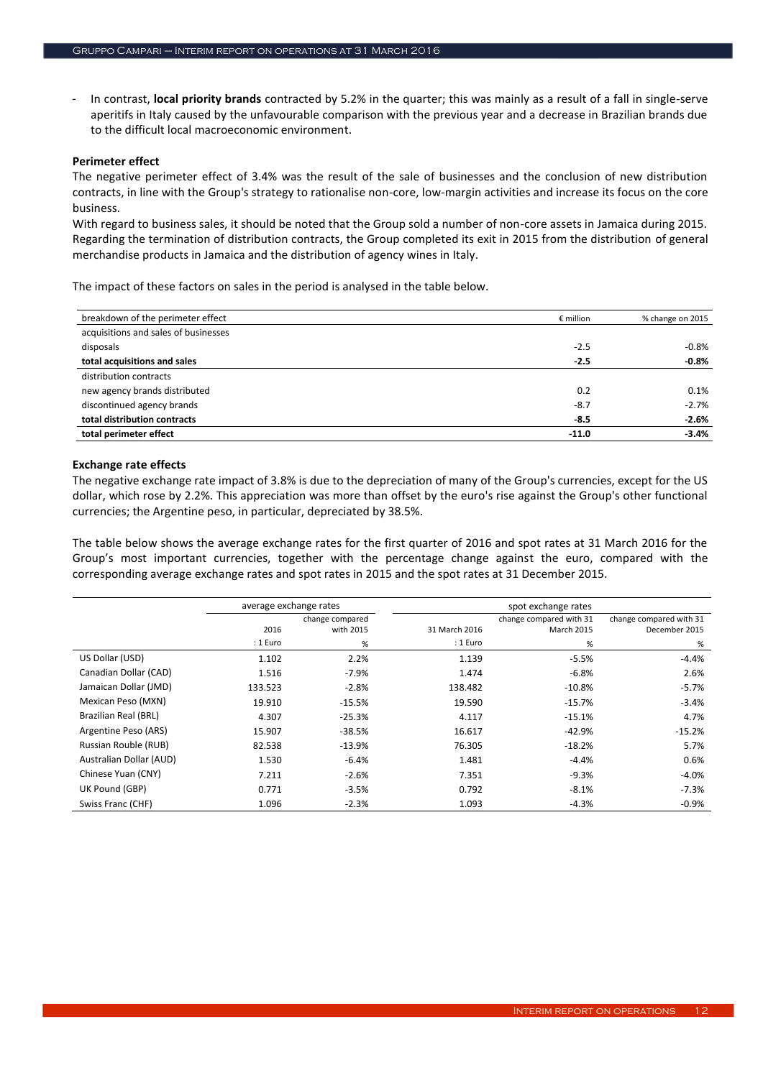- In contrast, **local priority brands** contracted by 5.2% in the quarter; this was mainly as a result of a fall in single-serve aperitifs in Italy caused by the unfavourable comparison with the previous year and a decrease in Brazilian brands due to the difficult local macroeconomic environment.

#### **Perimeter effect**

The negative perimeter effect of 3.4% was the result of the sale of businesses and the conclusion of new distribution contracts, in line with the Group's strategy to rationalise non-core, low-margin activities and increase its focus on the core business.

With regard to business sales, it should be noted that the Group sold a number of non-core assets in Jamaica during 2015. Regarding the termination of distribution contracts, the Group completed its exit in 2015 from the distribution of general merchandise products in Jamaica and the distribution of agency wines in Italy.

The impact of these factors on sales in the period is analysed in the table below.

| breakdown of the perimeter effect    | $\epsilon$ million | % change on 2015 |
|--------------------------------------|--------------------|------------------|
| acquisitions and sales of businesses |                    |                  |
| disposals                            | $-2.5$             | $-0.8%$          |
| total acquisitions and sales         | $-2.5$             | $-0.8%$          |
| distribution contracts               |                    |                  |
| new agency brands distributed        | 0.2                | 0.1%             |
| discontinued agency brands           | $-8.7$             | $-2.7%$          |
| total distribution contracts         | $-8.5$             | $-2.6%$          |
| total perimeter effect               | $-11.0$            | $-3.4%$          |

#### **Exchange rate effects**

The negative exchange rate impact of 3.8% is due to the depreciation of many of the Group's currencies, except for the US dollar, which rose by 2.2%. This appreciation was more than offset by the euro's rise against the Group's other functional currencies; the Argentine peso, in particular, depreciated by 38.5%.

The table below shows the average exchange rates for the first quarter of 2016 and spot rates at 31 March 2016 for the Group's most important currencies, together with the percentage change against the euro, compared with the corresponding average exchange rates and spot rates in 2015 and the spot rates at 31 December 2015.

|                         |          | average exchange rates |               | spot exchange rates     |                         |  |  |
|-------------------------|----------|------------------------|---------------|-------------------------|-------------------------|--|--|
|                         |          | change compared        |               | change compared with 31 | change compared with 31 |  |  |
|                         | 2016     | with 2015              | 31 March 2016 | <b>March 2015</b>       | December 2015           |  |  |
|                         | : 1 Euro | $\%$                   | : 1 Euro      | %                       | %                       |  |  |
| US Dollar (USD)         | 1.102    | 2.2%                   | 1.139         | $-5.5%$                 | $-4.4%$                 |  |  |
| Canadian Dollar (CAD)   | 1.516    | $-7.9%$                | 1.474         | $-6.8%$                 | 2.6%                    |  |  |
| Jamaican Dollar (JMD)   | 133.523  | $-2.8%$                | 138.482       | $-10.8\%$               | $-5.7%$                 |  |  |
| Mexican Peso (MXN)      | 19.910   | $-15.5%$               | 19.590        | $-15.7%$                | $-3.4%$                 |  |  |
| Brazilian Real (BRL)    | 4.307    | $-25.3%$               | 4.117         | $-15.1%$                | 4.7%                    |  |  |
| Argentine Peso (ARS)    | 15.907   | $-38.5%$               | 16.617        | $-42.9%$                | $-15.2%$                |  |  |
| Russian Rouble (RUB)    | 82.538   | $-13.9%$               | 76.305        | $-18.2%$                | 5.7%                    |  |  |
| Australian Dollar (AUD) | 1.530    | $-6.4%$                | 1.481         | $-4.4%$                 | 0.6%                    |  |  |
| Chinese Yuan (CNY)      | 7.211    | $-2.6%$                | 7.351         | -9.3%                   | $-4.0\%$                |  |  |
| UK Pound (GBP)          | 0.771    | $-3.5%$                | 0.792         | $-8.1%$                 | $-7.3%$                 |  |  |
| Swiss Franc (CHF)       | 1.096    | $-2.3%$                | 1.093         | $-4.3%$                 | $-0.9\%$                |  |  |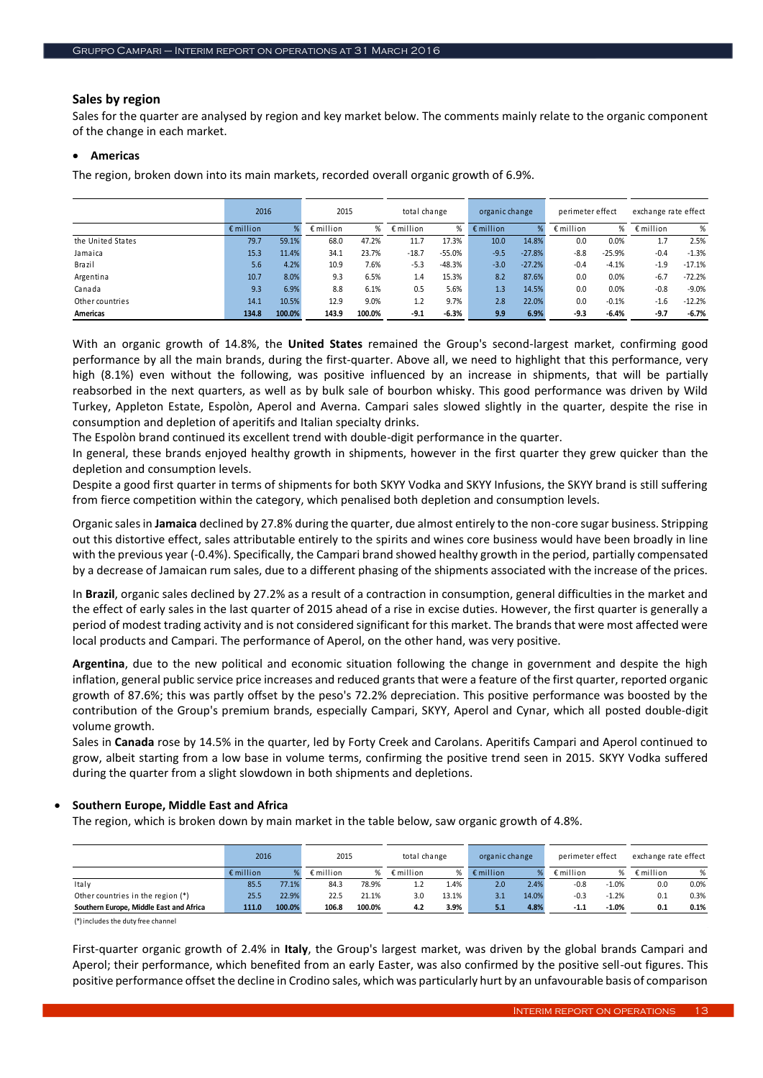# **Sales by region**

Sales for the quarter are analysed by region and key market below. The comments mainly relate to the organic component of the change in each market.

#### **Americas**

The region, broken down into its main markets, recorded overall organic growth of 6.9%.

|                   | 2016               |        | 2015               |        | total change       |          | organic change     |          | perimeter effect   |          | exchange rate effect |          |
|-------------------|--------------------|--------|--------------------|--------|--------------------|----------|--------------------|----------|--------------------|----------|----------------------|----------|
|                   | $\epsilon$ million | %      | $\epsilon$ million | ℅      | $\epsilon$ million | %        | $\epsilon$ million |          | $\epsilon$ million | ℅        | $\epsilon$ million   | %        |
| the United States | 79.7               | 59.1%  | 68.0               | 47.2%  | 11.7               | 17.3%    | 10.0               | 14.8%    | 0.0                | 0.0%     | 1.7                  | 2.5%     |
| Jamaica           | 15.3               | 11.4%  | 34.1               | 23.7%  | $-18.7$            | $-55.0%$ | $-9.5$             | $-27.8%$ | $-8.8$             | $-25.9%$ | $-0.4$               | $-1.3%$  |
| Brazil            | 5.6                | 4.2%   | 10.9               | 7.6%   | $-5.3$             | $-48.3%$ | $-3.0$             | $-27.2%$ | $-0.4$             | $-4.1%$  | $-1.9$               | $-17.1%$ |
| Argentina         | 10.7               | 8.0%   | 9.3                | 6.5%   | 1.4                | 15.3%    | 8.2                | 87.6%    | 0.0                | 0.0%     | $-6.7$               | $-72.2%$ |
| Canada            | 9.3                | 6.9%   | 8.8                | 6.1%   | 0.5                | 5.6%     | 1.3                | 14.5%    | 0.0                | 0.0%     | $-0.8$               | $-9.0%$  |
| Other countries   | 14.1               | 10.5%  | 12.9               | 9.0%   | 1.2                | 9.7%     | 2.8                | 22.0%    | 0.0                | $-0.1%$  | $-1.6$               | $-12.2%$ |
| Americas          | 134.8              | 100.0% | 143.9              | 100.0% | $-9.1$             | $-6.3%$  | 9.9                | 6.9%     | $-9.3$             | $-6.4%$  | $-9.7$               | $-6.7%$  |

With an organic growth of 14.8%, the **United States** remained the Group's second-largest market, confirming good performance by all the main brands, during the first-quarter. Above all, we need to highlight that this performance, very high (8.1%) even without the following, was positive influenced by an increase in shipments, that will be partially reabsorbed in the next quarters, as well as by bulk sale of bourbon whisky. This good performance was driven by Wild Turkey, Appleton Estate, Espolòn, Aperol and Averna. Campari sales slowed slightly in the quarter, despite the rise in consumption and depletion of aperitifs and Italian specialty drinks.

The Espolòn brand continued its excellent trend with double-digit performance in the quarter.

In general, these brands enjoyed healthy growth in shipments, however in the first quarter they grew quicker than the depletion and consumption levels.

Despite a good first quarter in terms of shipments for both SKYY Vodka and SKYY Infusions, the SKYY brand is still suffering from fierce competition within the category, which penalised both depletion and consumption levels.

Organic sales in **Jamaica** declined by 27.8% during the quarter, due almost entirely to the non-core sugar business. Stripping out this distortive effect, sales attributable entirely to the spirits and wines core business would have been broadly in line with the previous year (-0.4%). Specifically, the Campari brand showed healthy growth in the period, partially compensated by a decrease of Jamaican rum sales, due to a different phasing of the shipments associated with the increase of the prices.

In **Brazil**, organic sales declined by 27.2% as a result of a contraction in consumption, general difficulties in the market and the effect of early sales in the last quarter of 2015 ahead of a rise in excise duties. However, the first quarter is generally a period of modest trading activity and is not considered significant for this market. The brands that were most affected were local products and Campari. The performance of Aperol, on the other hand, was very positive.

**Argentina**, due to the new political and economic situation following the change in government and despite the high inflation, general public service price increases and reduced grants that were a feature of the first quarter, reported organic growth of 87.6%; this was partly offset by the peso's 72.2% depreciation. This positive performance was boosted by the contribution of the Group's premium brands, especially Campari, SKYY, Aperol and Cynar, which all posted double-digit volume growth.

Sales in **Canada** rose by 14.5% in the quarter, led by Forty Creek and Carolans. Aperitifs Campari and Aperol continued to grow, albeit starting from a low base in volume terms, confirming the positive trend seen in 2015. SKYY Vodka suffered during the quarter from a slight slowdown in both shipments and depletions.

# **Southern Europe, Middle East and Africa**

The region, which is broken down by main market in the table below, saw organic growth of 4.8%.

|                                         | 2016               |        | 2015               |        | total change       |       | organic change     |       | perimeter effect   |         | exchange rate effect |      |
|-----------------------------------------|--------------------|--------|--------------------|--------|--------------------|-------|--------------------|-------|--------------------|---------|----------------------|------|
|                                         | $\epsilon$ million |        | $\epsilon$ million | %      | $\epsilon$ million | %     | $\epsilon$ million |       | $\epsilon$ million | %       | $\epsilon$ million   | %    |
| Italy                                   | 85.5               | 77.1%  | 84.3               | 78.9%  |                    | 1.4%  | 2.0 <sup>°</sup>   | 2.4%  | $-0.8$             | $-1.0%$ | 0.0                  | 0.0% |
| Other countries in the region (*)       | 25.5               | 22.9%  | 22.5               | 21.1%  | 3.0                | 13.1% | 3.1                | 14.0% | $-0.3$             | $-1.2%$ | 0.1                  | 0.3% |
| Southern Europe, Middle East and Africa | 111.0              | 100.0% | 106.8              | 100.0% | 4.2                | 3.9%  | 5.1                | 4.8%  | $-1.1$             | $-1.0%$ | 0.1                  | 0.1% |

(\*) includes the duty free channel

First-quarter organic growth of 2.4% in **Italy**, the Group's largest market, was driven by the global brands Campari and Aperol; their performance, which benefited from an early Easter, was also confirmed by the positive sell-out figures. This positive performance offset the decline in Crodino sales, which was particularly hurt by an unfavourable basis of comparison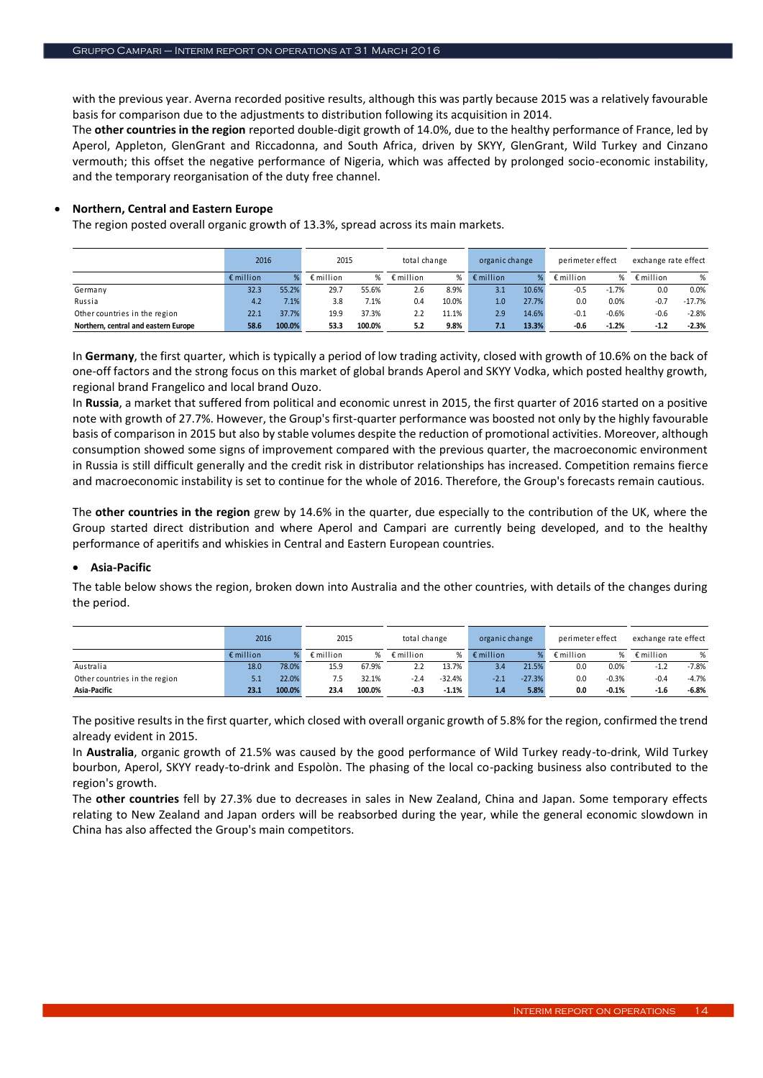with the previous year. Averna recorded positive results, although this was partly because 2015 was a relatively favourable basis for comparison due to the adjustments to distribution following its acquisition in 2014.

The **other countries in the region** reported double-digit growth of 14.0%, due to the healthy performance of France, led by Aperol, Appleton, GlenGrant and Riccadonna, and South Africa, driven by SKYY, GlenGrant, Wild Turkey and Cinzano vermouth; this offset the negative performance of Nigeria, which was affected by prolonged socio-economic instability, and the temporary reorganisation of the duty free channel.

# **Northern, Central and Eastern Europe**

The region posted overall organic growth of 13.3%, spread across its main markets.

|                                      | 2016               |        | 2015               |        | total change       |       | organic change     |       | perimeter effect   |         | exchange rate effect |          |
|--------------------------------------|--------------------|--------|--------------------|--------|--------------------|-------|--------------------|-------|--------------------|---------|----------------------|----------|
|                                      | $\epsilon$ million | ℅      | $\epsilon$ million | ℅      | $\epsilon$ million | %     | $\epsilon$ million |       | $\epsilon$ million | %       | $\epsilon$ million   | %        |
| Germany                              | 32.3               | 55.2%  | 29.7               | 55.6%  | 2.6                | 8.9%  | 3.1                | 10.6% | $-0.5$             | $-1.7%$ | 0.0                  | 0.0%     |
| Russia                               | 4.2                | 7.1%   | 3.8                | 7.1%   | 0.4                | 10.0% | 1.0                | 27.7% | 0.0                | 0.0%    | $-0.7$               | $-17.7%$ |
| Other countries in the region        | 22.1               | 37.7%  | 19.9               | 37.3%  |                    | 11.1% | 2.9                | 14.6% | $-0.1$             | $-0.6%$ | $-0.6$               | $-2.8%$  |
| Northern, central and eastern Europe | 58.6               | 100.0% | 53.3               | 100.0% | 5.2                | 9.8%  | 7.1                | 13.3% | $-0.6$             | $-1.2%$ | $-1.2$               | $-2.3%$  |

In **Germany**, the first quarter, which is typically a period of low trading activity, closed with growth of 10.6% on the back of one-off factors and the strong focus on this market of global brands Aperol and SKYY Vodka, which posted healthy growth, regional brand Frangelico and local brand Ouzo.

In **Russia**, a market that suffered from political and economic unrest in 2015, the first quarter of 2016 started on a positive note with growth of 27.7%. However, the Group's first-quarter performance was boosted not only by the highly favourable basis of comparison in 2015 but also by stable volumes despite the reduction of promotional activities. Moreover, although consumption showed some signs of improvement compared with the previous quarter, the macroeconomic environment in Russia is still difficult generally and the credit risk in distributor relationships has increased. Competition remains fierce and macroeconomic instability is set to continue for the whole of 2016. Therefore, the Group's forecasts remain cautious.

The **other countries in the region** grew by 14.6% in the quarter, due especially to the contribution of the UK, where the Group started direct distribution and where Aperol and Campari are currently being developed, and to the healthy performance of aperitifs and whiskies in Central and Eastern European countries.

# **Asia-Pacific**

The table below shows the region, broken down into Australia and the other countries, with details of the changes during the period.

|                               | 2016               |        | 2015               |        | total change       |          | organic change     |          | perimeter effect   |         | exchange rate effect |         |
|-------------------------------|--------------------|--------|--------------------|--------|--------------------|----------|--------------------|----------|--------------------|---------|----------------------|---------|
|                               | $\epsilon$ million |        | $\epsilon$ million | ℅      | $\epsilon$ million | %        | $\epsilon$ million |          | $\epsilon$ million | %       | $\epsilon$ million   | %       |
| Australia                     | 18.0               | 78.0%  | 15.9               | 67.9%  | 2.2                | 13.7%    | 3.4                | 21.5%    | 0.0                | 0.0%    | $-1.2$               | $-7.8%$ |
| Other countries in the region | 5.1                | 22.0%  | 7.5                | 32.1%  | $-2.4$             | $-32.4%$ | $-2.1$             | $-27.3%$ | 0.0                | $-0.3%$ | $-0.4$               | $-4.7%$ |
| Asia-Pacific                  | 23.1               | 100.0% | 23.4               | 100.0% | $-0.3$             | $-1.1%$  | 1.4                | 5.8%     | 0.0                | $-0.1%$ | $-1.6$               | $-6.8%$ |

The positive results in the first quarter, which closed with overall organic growth of 5.8% for the region, confirmed the trend already evident in 2015.

In **Australia**, organic growth of 21.5% was caused by the good performance of Wild Turkey ready-to-drink, Wild Turkey bourbon, Aperol, SKYY ready-to-drink and Espolòn. The phasing of the local co-packing business also contributed to the region's growth.

The **other countries** fell by 27.3% due to decreases in sales in New Zealand, China and Japan. Some temporary effects relating to New Zealand and Japan orders will be reabsorbed during the year, while the general economic slowdown in China has also affected the Group's main competitors.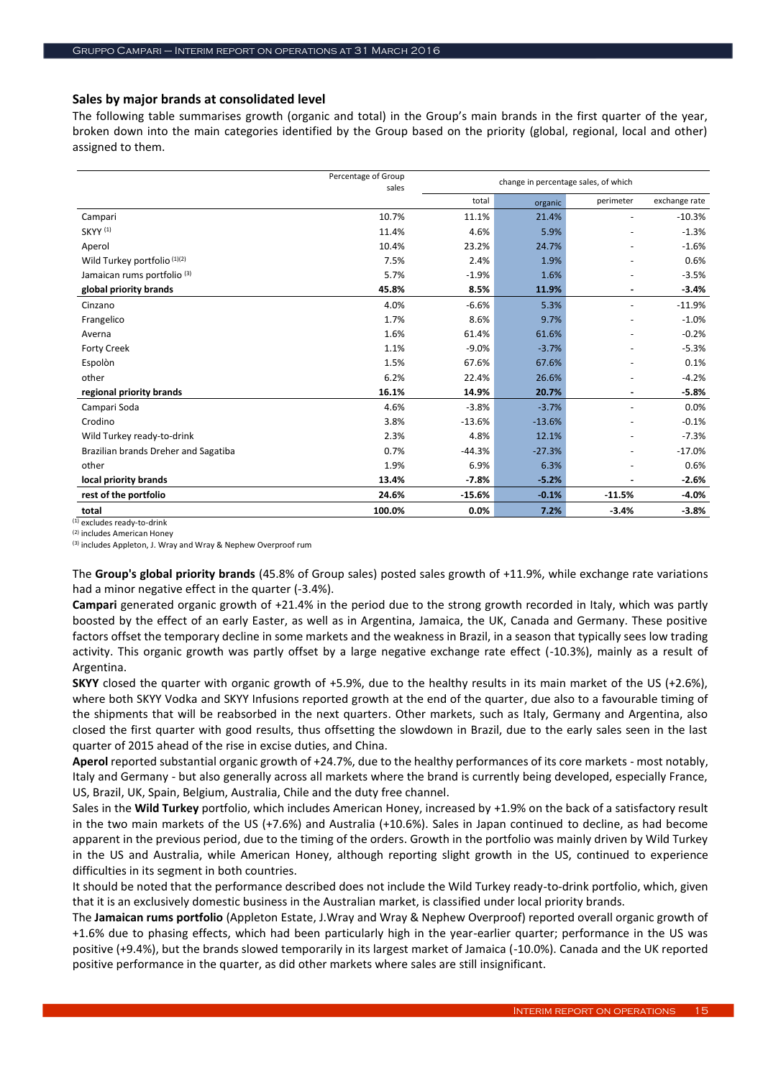# **Sales by major brands at consolidated level**

The following table summarises growth (organic and total) in the Group's main brands in the first quarter of the year, broken down into the main categories identified by the Group based on the priority (global, regional, local and other) assigned to them.

|                                        | Percentage of Group<br>sales |          |          | change in percentage sales, of which |               |
|----------------------------------------|------------------------------|----------|----------|--------------------------------------|---------------|
|                                        |                              | total    | organic  | perimeter                            | exchange rate |
| Campari                                | 10.7%                        | 11.1%    | 21.4%    | $\overline{\phantom{a}}$             | $-10.3%$      |
| SKYY <sup>(1)</sup>                    | 11.4%                        | 4.6%     | 5.9%     | $\overline{\phantom{a}}$             | $-1.3%$       |
| Aperol                                 | 10.4%                        | 23.2%    | 24.7%    | $\ddot{\phantom{1}}$                 | $-1.6%$       |
| Wild Turkey portfolio (1)(2)           | 7.5%                         | 2.4%     | 1.9%     |                                      | 0.6%          |
| Jamaican rums portfolio <sup>(3)</sup> | 5.7%                         | $-1.9%$  | 1.6%     |                                      | $-3.5%$       |
| global priority brands                 | 45.8%                        | 8.5%     | 11.9%    | ٠                                    | $-3.4%$       |
| Cinzano                                | 4.0%                         | $-6.6%$  | 5.3%     | $\overline{\phantom{a}}$             | $-11.9%$      |
| Frangelico                             | 1.7%                         | 8.6%     | 9.7%     | $\overline{\phantom{a}}$             | $-1.0%$       |
| Averna                                 | 1.6%                         | 61.4%    | 61.6%    | $\overline{\phantom{a}}$             | $-0.2%$       |
| <b>Forty Creek</b>                     | 1.1%                         | $-9.0%$  | $-3.7%$  |                                      | $-5.3%$       |
| Espolòn                                | 1.5%                         | 67.6%    | 67.6%    |                                      | 0.1%          |
| other                                  | 6.2%                         | 22.4%    | 26.6%    |                                      | $-4.2%$       |
| regional priority brands               | 16.1%                        | 14.9%    | 20.7%    | $\overline{\phantom{a}}$             | $-5.8%$       |
| Campari Soda                           | 4.6%                         | $-3.8%$  | $-3.7%$  | $\overline{\phantom{a}}$             | 0.0%          |
| Crodino                                | 3.8%                         | $-13.6%$ | $-13.6%$ | $\overline{\phantom{a}}$             | $-0.1%$       |
| Wild Turkey ready-to-drink             | 2.3%                         | 4.8%     | 12.1%    | $\overline{\phantom{a}}$             | $-7.3%$       |
| Brazilian brands Dreher and Sagatiba   | 0.7%                         | $-44.3%$ | $-27.3%$ | $\overline{\phantom{a}}$             | $-17.0%$      |
| other                                  | 1.9%                         | 6.9%     | 6.3%     |                                      | 0.6%          |
| local priority brands                  | 13.4%                        | $-7.8%$  | $-5.2%$  |                                      | $-2.6%$       |
| rest of the portfolio                  | 24.6%                        | $-15.6%$ | $-0.1%$  | $-11.5%$                             | $-4.0%$       |
| total                                  | 100.0%                       | 0.0%     | 7.2%     | $-3.4%$                              | $-3.8%$       |

(1) excludes ready-to-drink

(2) includes American Honey

(3) includes Appleton, J. Wray and Wray & Nephew Overproof rum

The **Group's global priority brands** (45.8% of Group sales) posted sales growth of +11.9%, while exchange rate variations had a minor negative effect in the quarter (-3.4%).

**Campari** generated organic growth of +21.4% in the period due to the strong growth recorded in Italy, which was partly boosted by the effect of an early Easter, as well as in Argentina, Jamaica, the UK, Canada and Germany. These positive factors offset the temporary decline in some markets and the weakness in Brazil, in a season that typically sees low trading activity. This organic growth was partly offset by a large negative exchange rate effect (-10.3%), mainly as a result of Argentina.

**SKYY** closed the quarter with organic growth of +5.9%, due to the healthy results in its main market of the US (+2.6%), where both SKYY Vodka and SKYY Infusions reported growth at the end of the quarter, due also to a favourable timing of the shipments that will be reabsorbed in the next quarters. Other markets, such as Italy, Germany and Argentina, also closed the first quarter with good results, thus offsetting the slowdown in Brazil, due to the early sales seen in the last quarter of 2015 ahead of the rise in excise duties, and China.

**Aperol** reported substantial organic growth of +24.7%, due to the healthy performances of its core markets - most notably, Italy and Germany - but also generally across all markets where the brand is currently being developed, especially France, US, Brazil, UK, Spain, Belgium, Australia, Chile and the duty free channel.

Sales in the **Wild Turkey** portfolio, which includes American Honey, increased by +1.9% on the back of a satisfactory result in the two main markets of the US (+7.6%) and Australia (+10.6%). Sales in Japan continued to decline, as had become apparent in the previous period, due to the timing of the orders. Growth in the portfolio was mainly driven by Wild Turkey in the US and Australia, while American Honey, although reporting slight growth in the US, continued to experience difficulties in its segment in both countries.

It should be noted that the performance described does not include the Wild Turkey ready-to-drink portfolio, which, given that it is an exclusively domestic business in the Australian market, is classified under local priority brands.

The **Jamaican rums portfolio** (Appleton Estate, J.Wray and Wray & Nephew Overproof) reported overall organic growth of +1.6% due to phasing effects, which had been particularly high in the year-earlier quarter; performance in the US was positive (+9.4%), but the brands slowed temporarily in its largest market of Jamaica (-10.0%). Canada and the UK reported positive performance in the quarter, as did other markets where sales are still insignificant.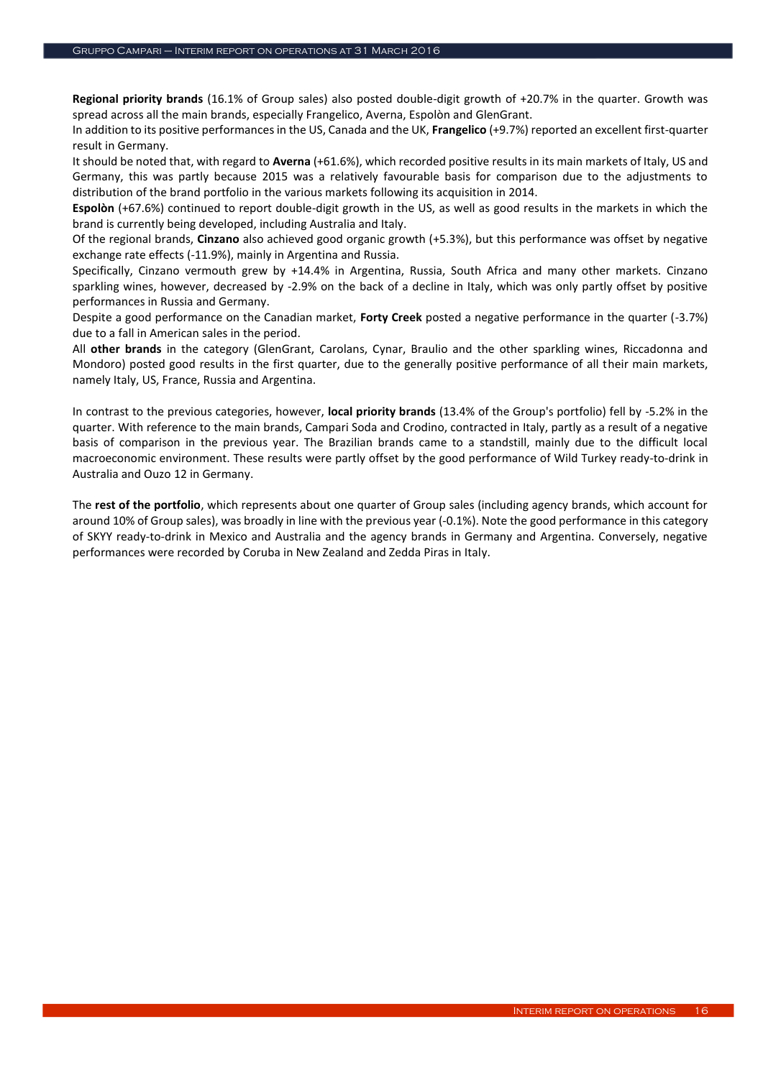**Regional priority brands** (16.1% of Group sales) also posted double-digit growth of +20.7% in the quarter. Growth was spread across all the main brands, especially Frangelico, Averna, Espolòn and GlenGrant.

In addition to its positive performances in the US, Canada and the UK, **Frangelico** (+9.7%) reported an excellent first-quarter result in Germany.

It should be noted that, with regard to **Averna** (+61.6%), which recorded positive results in its main markets of Italy, US and Germany, this was partly because 2015 was a relatively favourable basis for comparison due to the adjustments to distribution of the brand portfolio in the various markets following its acquisition in 2014.

**Espolòn** (+67.6%) continued to report double-digit growth in the US, as well as good results in the markets in which the brand is currently being developed, including Australia and Italy.

Of the regional brands, **Cinzano** also achieved good organic growth (+5.3%), but this performance was offset by negative exchange rate effects (-11.9%), mainly in Argentina and Russia.

Specifically, Cinzano vermouth grew by +14.4% in Argentina, Russia, South Africa and many other markets. Cinzano sparkling wines, however, decreased by -2.9% on the back of a decline in Italy, which was only partly offset by positive performances in Russia and Germany.

Despite a good performance on the Canadian market, **Forty Creek** posted a negative performance in the quarter (-3.7%) due to a fall in American sales in the period.

All **other brands** in the category (GlenGrant, Carolans, Cynar, Braulio and the other sparkling wines, Riccadonna and Mondoro) posted good results in the first quarter, due to the generally positive performance of all their main markets, namely Italy, US, France, Russia and Argentina.

In contrast to the previous categories, however, **local priority brands** (13.4% of the Group's portfolio) fell by -5.2% in the quarter. With reference to the main brands, Campari Soda and Crodino, contracted in Italy, partly as a result of a negative basis of comparison in the previous year. The Brazilian brands came to a standstill, mainly due to the difficult local macroeconomic environment. These results were partly offset by the good performance of Wild Turkey ready-to-drink in Australia and Ouzo 12 in Germany.

The **rest of the portfolio**, which represents about one quarter of Group sales (including agency brands, which account for around 10% of Group sales), was broadly in line with the previous year (-0.1%). Note the good performance in this category of SKYY ready-to-drink in Mexico and Australia and the agency brands in Germany and Argentina. Conversely, negative performances were recorded by Coruba in New Zealand and Zedda Piras in Italy.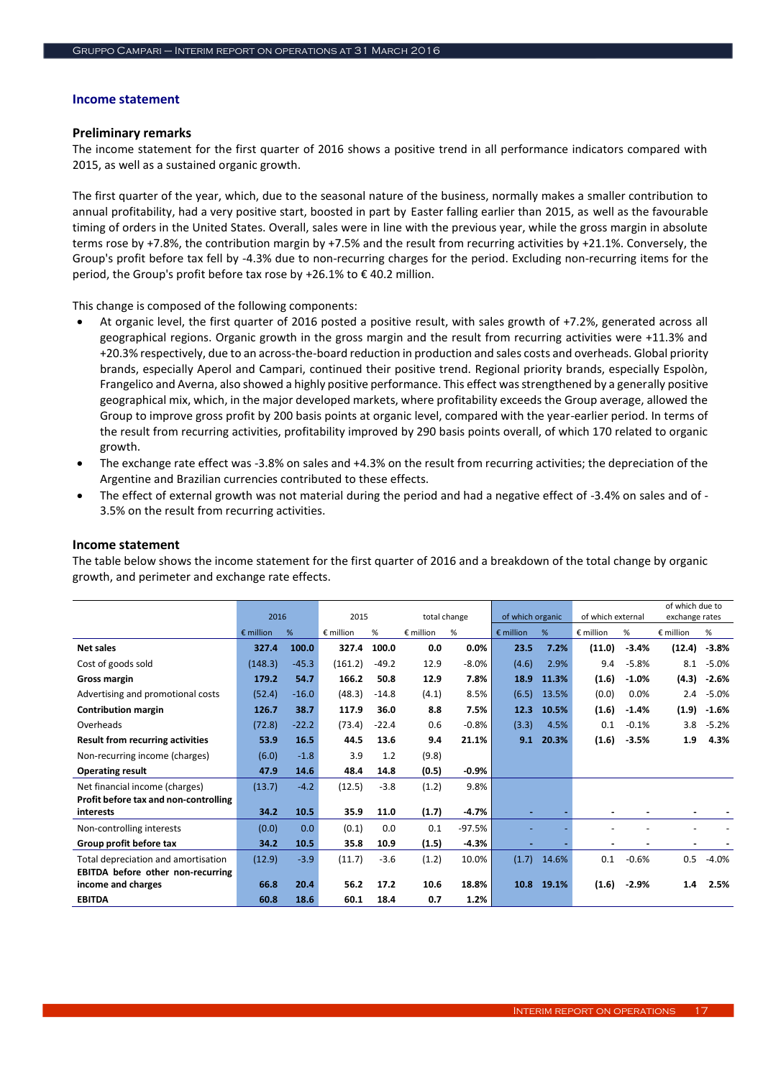#### **Income statement**

# **Preliminary remarks**

The income statement for the first quarter of 2016 shows a positive trend in all performance indicators compared with 2015, as well as a sustained organic growth.

The first quarter of the year, which, due to the seasonal nature of the business, normally makes a smaller contribution to annual profitability, had a very positive start, boosted in part by Easter falling earlier than 2015, as well as the favourable timing of orders in the United States. Overall, sales were in line with the previous year, while the gross margin in absolute terms rose by +7.8%, the contribution margin by +7.5% and the result from recurring activities by +21.1%. Conversely, the Group's profit before tax fell by -4.3% due to non-recurring charges for the period. Excluding non-recurring items for the period, the Group's profit before tax rose by +26.1% to € 40.2 million.

This change is composed of the following components:

- At organic level, the first quarter of 2016 posted a positive result, with sales growth of +7.2%, generated across all geographical regions. Organic growth in the gross margin and the result from recurring activities were +11.3% and +20.3% respectively, due to an across-the-board reduction in production and sales costs and overheads. Global priority brands, especially Aperol and Campari, continued their positive trend. Regional priority brands, especially Espolòn, Frangelico and Averna, also showed a highly positive performance. This effect was strengthened by a generally positive geographical mix, which, in the major developed markets, where profitability exceeds the Group average, allowed the Group to improve gross profit by 200 basis points at organic level, compared with the year-earlier period. In terms of the result from recurring activities, profitability improved by 290 basis points overall, of which 170 related to organic growth.
- The exchange rate effect was -3.8% on sales and +4.3% on the result from recurring activities; the depreciation of the Argentine and Brazilian currencies contributed to these effects.
- The effect of external growth was not material during the period and had a negative effect of -3.4% on sales and of 3.5% on the result from recurring activities.

|                                          | 2016               |         | 2015      |         | total change       |          | of which organic   |       | of which external |         | of which due to<br>exchange rates |         |
|------------------------------------------|--------------------|---------|-----------|---------|--------------------|----------|--------------------|-------|-------------------|---------|-----------------------------------|---------|
|                                          | $\epsilon$ million | %       | € million | %       | $\epsilon$ million | %        | $\epsilon$ million | %     | € million         | %       | $\epsilon$ million                | %       |
| Net sales                                | 327.4              | 100.0   | 327.4     | 100.0   | 0.0                | 0.0%     | 23.5               | 7.2%  | (11.0)            | $-3.4%$ | (12.4)                            | $-3.8%$ |
| Cost of goods sold                       | (148.3)            | $-45.3$ | (161.2)   | $-49.2$ | 12.9               | $-8.0%$  | (4.6)              | 2.9%  | 9.4               | $-5.8%$ | 8.1                               | $-5.0%$ |
| Gross margin                             | 179.2              | 54.7    | 166.2     | 50.8    | 12.9               | 7.8%     | 18.9               | 11.3% | (1.6)             | $-1.0%$ | (4.3)                             | $-2.6%$ |
| Advertising and promotional costs        | (52.4)             | $-16.0$ | (48.3)    | $-14.8$ | (4.1)              | 8.5%     | (6.5)              | 13.5% | (0.0)             | 0.0%    | 2.4                               | $-5.0%$ |
| <b>Contribution margin</b>               | 126.7              | 38.7    | 117.9     | 36.0    | 8.8                | 7.5%     | 12.3               | 10.5% | (1.6)             | $-1.4%$ | (1.9)                             | $-1.6%$ |
| Overheads                                | (72.8)             | $-22.2$ | (73.4)    | $-22.4$ | 0.6                | $-0.8%$  | (3.3)              | 4.5%  | 0.1               | $-0.1%$ | 3.8                               | $-5.2%$ |
| <b>Result from recurring activities</b>  | 53.9               | 16.5    | 44.5      | 13.6    | 9.4                | 21.1%    | 9.1                | 20.3% | (1.6)             | $-3.5%$ | 1.9                               | 4.3%    |
| Non-recurring income (charges)           | (6.0)              | $-1.8$  | 3.9       | 1.2     | (9.8)              |          |                    |       |                   |         |                                   |         |
| <b>Operating result</b>                  | 47.9               | 14.6    | 48.4      | 14.8    | (0.5)              | $-0.9\%$ |                    |       |                   |         |                                   |         |
| Net financial income (charges)           | (13.7)             | $-4.2$  | (12.5)    | $-3.8$  | (1.2)              | 9.8%     |                    |       |                   |         |                                   |         |
| Profit before tax and non-controlling    |                    |         |           |         |                    |          |                    |       |                   |         |                                   |         |
| interests                                | 34.2               | 10.5    | 35.9      | 11.0    | (1.7)              | $-4.7%$  |                    |       |                   |         |                                   |         |
| Non-controlling interests                | (0.0)              | 0.0     | (0.1)     | 0.0     | 0.1                | $-97.5%$ |                    |       |                   |         |                                   |         |
| Group profit before tax                  | 34.2               | 10.5    | 35.8      | 10.9    | (1.5)              | $-4.3%$  |                    |       |                   |         |                                   |         |
| Total depreciation and amortisation      | (12.9)             | $-3.9$  | (11.7)    | $-3.6$  | (1.2)              | 10.0%    | (1.7)              | 14.6% | 0.1               | $-0.6%$ | 0.5                               | $-4.0%$ |
| <b>EBITDA</b> before other non-recurring |                    |         |           |         |                    |          |                    |       |                   |         |                                   |         |
| income and charges                       | 66.8               | 20.4    | 56.2      | 17.2    | 10.6               | 18.8%    | 10.8               | 19.1% | (1.6)             | $-2.9%$ | 1.4                               | 2.5%    |
| <b>EBITDA</b>                            | 60.8               | 18.6    | 60.1      | 18.4    | 0.7                | 1.2%     |                    |       |                   |         |                                   |         |

#### **Income statement**

The table below shows the income statement for the first quarter of 2016 and a breakdown of the total change by organic growth, and perimeter and exchange rate effects.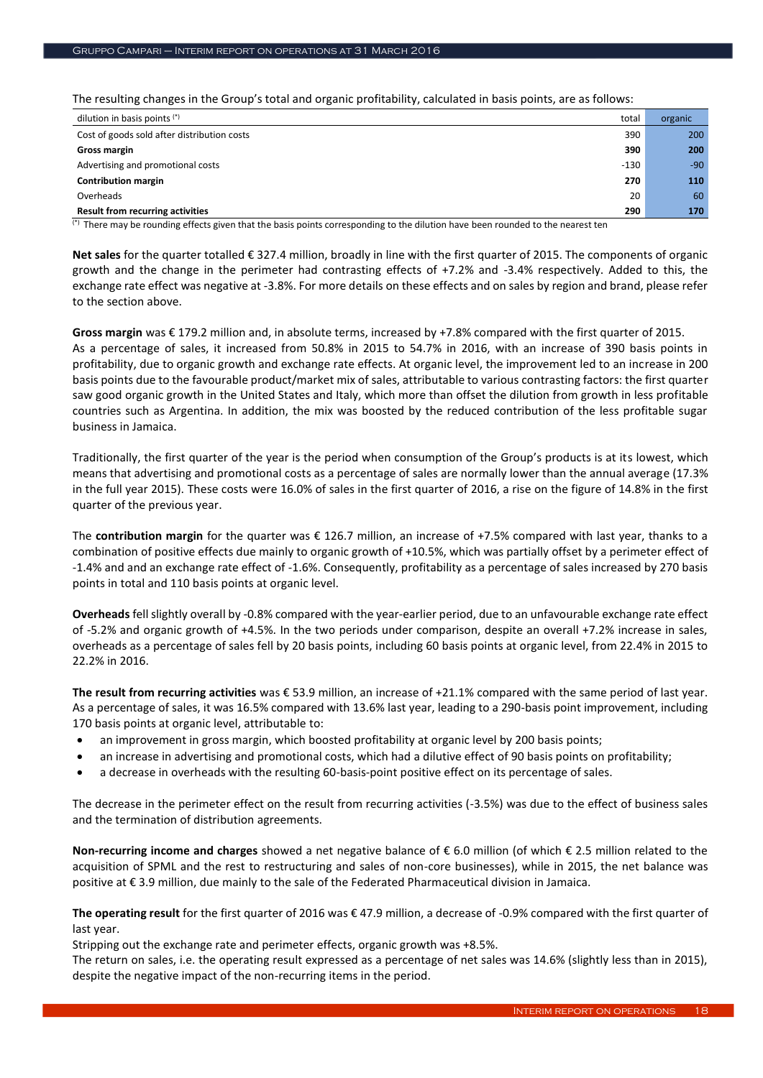The resulting changes in the Group's total and organic profitability, calculated in basis points, are as follows:

| dilution in basis points (*)                | total  | organic |
|---------------------------------------------|--------|---------|
| Cost of goods sold after distribution costs | 390    | 200     |
| Gross margin                                | 390    | 200     |
| Advertising and promotional costs           | $-130$ | $-90$   |
| <b>Contribution margin</b>                  | 270    | 110     |
| Overheads                                   | 20     | 60      |
| <b>Result from recurring activities</b>     | 290    | 170     |

(\*) There may be rounding effects given that the basis points corresponding to the dilution have been rounded to the nearest ten

**Net sales** for the quarter totalled € 327.4 million, broadly in line with the first quarter of 2015. The components of organic growth and the change in the perimeter had contrasting effects of +7.2% and -3.4% respectively. Added to this, the exchange rate effect was negative at -3.8%. For more details on these effects and on sales by region and brand, please refer to the section above.

**Gross margin** was € 179.2 million and, in absolute terms, increased by +7.8% compared with the first quarter of 2015. As a percentage of sales, it increased from 50.8% in 2015 to 54.7% in 2016, with an increase of 390 basis points in profitability, due to organic growth and exchange rate effects. At organic level, the improvement led to an increase in 200 basis points due to the favourable product/market mix of sales, attributable to various contrasting factors: the first quarter saw good organic growth in the United States and Italy, which more than offset the dilution from growth in less profitable countries such as Argentina. In addition, the mix was boosted by the reduced contribution of the less profitable sugar business in Jamaica.

Traditionally, the first quarter of the year is the period when consumption of the Group's products is at its lowest, which means that advertising and promotional costs as a percentage of sales are normally lower than the annual average (17.3% in the full year 2015). These costs were 16.0% of sales in the first quarter of 2016, a rise on the figure of 14.8% in the first quarter of the previous year.

The **contribution margin** for the quarter was € 126.7 million, an increase of +7.5% compared with last year, thanks to a combination of positive effects due mainly to organic growth of +10.5%, which was partially offset by a perimeter effect of -1.4% and and an exchange rate effect of -1.6%. Consequently, profitability as a percentage of sales increased by 270 basis points in total and 110 basis points at organic level.

**Overheads** fell slightly overall by -0.8% compared with the year-earlier period, due to an unfavourable exchange rate effect of -5.2% and organic growth of +4.5%. In the two periods under comparison, despite an overall +7.2% increase in sales, overheads as a percentage of sales fell by 20 basis points, including 60 basis points at organic level, from 22.4% in 2015 to 22.2% in 2016.

**The result from recurring activities** was € 53.9 million, an increase of +21.1% compared with the same period of last year. As a percentage of sales, it was 16.5% compared with 13.6% last year, leading to a 290-basis point improvement, including 170 basis points at organic level, attributable to:

- an improvement in gross margin, which boosted profitability at organic level by 200 basis points;
- an increase in advertising and promotional costs, which had a dilutive effect of 90 basis points on profitability;
- a decrease in overheads with the resulting 60-basis-point positive effect on its percentage of sales.

The decrease in the perimeter effect on the result from recurring activities (-3.5%) was due to the effect of business sales and the termination of distribution agreements.

**Non-recurring income and charges** showed a net negative balance of € 6.0 million (of which € 2.5 million related to the acquisition of SPML and the rest to restructuring and sales of non-core businesses), while in 2015, the net balance was positive at € 3.9 million, due mainly to the sale of the Federated Pharmaceutical division in Jamaica.

**The operating result** for the first quarter of 2016 was € 47.9 million, a decrease of -0.9% compared with the first quarter of last year.

Stripping out the exchange rate and perimeter effects, organic growth was +8.5%.

The return on sales, i.e. the operating result expressed as a percentage of net sales was 14.6% (slightly less than in 2015), despite the negative impact of the non-recurring items in the period.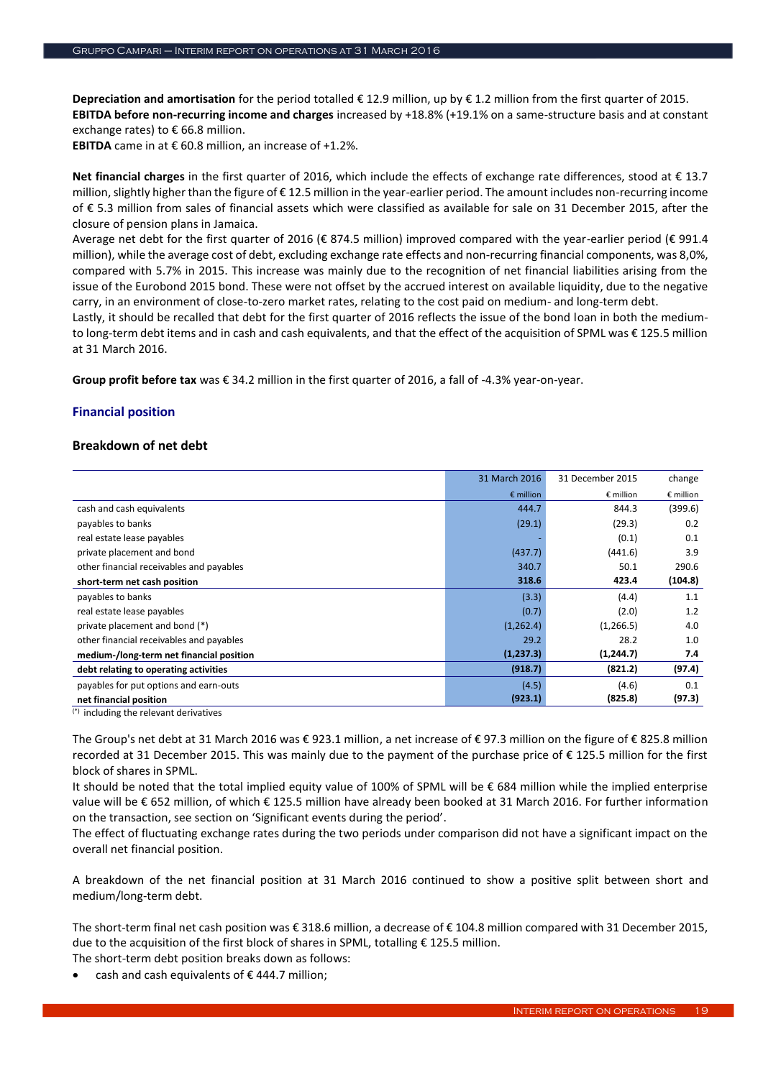**Depreciation and amortisation** for the period totalled € 12.9 million, up by € 1.2 million from the first quarter of 2015. **EBITDA before non-recurring income and charges** increased by +18.8% (+19.1% on a same-structure basis and at constant exchange rates) to € 66.8 million.

**EBITDA** came in at  $\epsilon$  60.8 million, an increase of +1.2%.

**Net financial charges** in the first quarter of 2016, which include the effects of exchange rate differences, stood at € 13.7 million, slightly higher than the figure of  $\epsilon$  12.5 million in the year-earlier period. The amount includes non-recurring income of € 5.3 million from sales of financial assets which were classified as available for sale on 31 December 2015, after the closure of pension plans in Jamaica.

Average net debt for the first quarter of 2016 (€ 874.5 million) improved compared with the year-earlier period (€ 991.4 million), while the average cost of debt, excluding exchange rate effects and non-recurring financial components, was 8,0%, compared with 5.7% in 2015. This increase was mainly due to the recognition of net financial liabilities arising from the issue of the Eurobond 2015 bond. These were not offset by the accrued interest on available liquidity, due to the negative carry, in an environment of close-to-zero market rates, relating to the cost paid on medium- and long-term debt.

Lastly, it should be recalled that debt for the first quarter of 2016 reflects the issue of the bond loan in both the mediumto long-term debt items and in cash and cash equivalents, and that the effect of the acquisition of SPML was € 125.5 million at 31 March 2016.

**Group profit before tax** was € 34.2 million in the first quarter of 2016, a fall of -4.3% year-on-year.

# **Financial position**

# **Breakdown of net debt**

|                                                        | 31 March 2016      | 31 December 2015   | change             |
|--------------------------------------------------------|--------------------|--------------------|--------------------|
|                                                        | $\epsilon$ million | $\epsilon$ million | $\epsilon$ million |
| cash and cash equivalents                              | 444.7              | 844.3              | (399.6)            |
| payables to banks                                      | (29.1)             | (29.3)             | 0.2                |
| real estate lease payables                             |                    | (0.1)              | 0.1                |
| private placement and bond                             | (437.7)            | (441.6)            | 3.9                |
| other financial receivables and payables               | 340.7              | 50.1               | 290.6              |
| short-term net cash position                           | 318.6              | 423.4              | (104.8)            |
| payables to banks                                      | (3.3)              | (4.4)              | 1.1                |
| real estate lease payables                             | (0.7)              | (2.0)              | 1.2                |
| private placement and bond (*)                         | (1,262.4)          | (1, 266.5)         | 4.0                |
| other financial receivables and payables               | 29.2               | 28.2               | 1.0                |
| medium-/long-term net financial position               | (1, 237.3)         | (1, 244.7)         | 7.4                |
| debt relating to operating activities                  | (918.7)            | (821.2)            | (97.4)             |
| payables for put options and earn-outs                 | (4.5)              | (4.6)              | 0.1                |
| net financial position                                 | (923.1)            | (825.8)            | (97.3)             |
| $\binom{*}{\cdot}$ including the relevant derivatives. |                    |                    |                    |

(\*) including the relevant derivatives

The Group's net debt at 31 March 2016 was € 923.1 million, a net increase of € 97.3 million on the figure of € 825.8 million recorded at 31 December 2015. This was mainly due to the payment of the purchase price of € 125.5 million for the first block of shares in SPML.

It should be noted that the total implied equity value of 100% of SPML will be € 684 million while the implied enterprise value will be € 652 million, of which € 125.5 million have already been booked at 31 March 2016. For further information on the transaction, see section on 'Significant events during the period'.

The effect of fluctuating exchange rates during the two periods under comparison did not have a significant impact on the overall net financial position.

A breakdown of the net financial position at 31 March 2016 continued to show a positive split between short and medium/long-term debt.

The short-term final net cash position was € 318.6 million, a decrease of € 104.8 million compared with 31 December 2015, due to the acquisition of the first block of shares in SPML, totalling  $\epsilon$  125.5 million.

The short-term debt position breaks down as follows:

cash and cash equivalents of  $\epsilon$  444.7 million;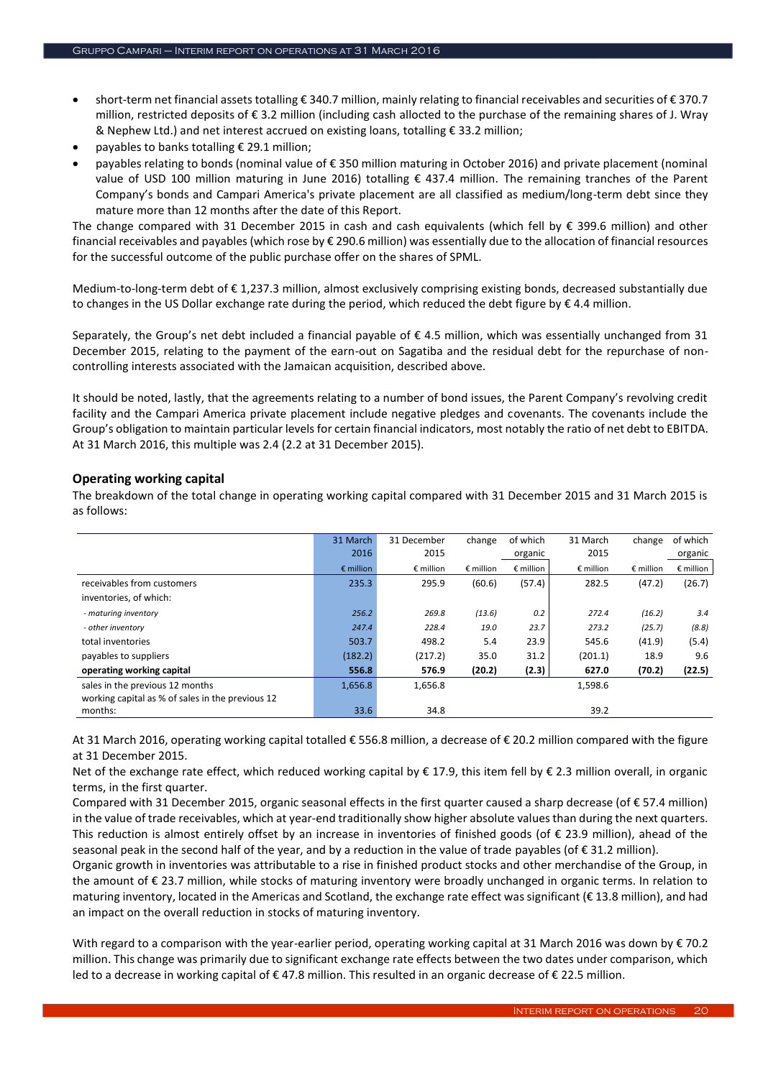- short-term net financial assets totalling € 340.7 million, mainly relating to financial receivables and securities of € 370.7 million, restricted deposits of € 3.2 million (including cash allocted to the purchase of the remaining shares of J. Wray & Nephew Ltd.) and net interest accrued on existing loans, totalling € 33.2 million;
- payables to banks totalling € 29.1 million;
- payables relating to bonds (nominal value of € 350 million maturing in October 2016) and private placement (nominal value of USD 100 million maturing in June 2016) totalling € 437.4 million. The remaining tranches of the Parent Company's bonds and Campari America's private placement are all classified as medium/long-term debt since they mature more than 12 months after the date of this Report.

The change compared with 31 December 2015 in cash and cash equivalents (which fell by € 399.6 million) and other financial receivables and payables (which rose by € 290.6 million) was essentially due to the allocation of financial resources for the successful outcome of the public purchase offer on the shares of SPML.

Medium-to-long-term debt of € 1,237.3 million, almost exclusively comprising existing bonds, decreased substantially due to changes in the US Dollar exchange rate during the period, which reduced the debt figure by  $\epsilon$  4.4 million.

Separately, the Group's net debt included a financial payable of  $\epsilon$  4.5 million, which was essentially unchanged from 31 December 2015, relating to the payment of the earn-out on Sagatiba and the residual debt for the repurchase of noncontrolling interests associated with the Jamaican acquisition, described above.

It should be noted, lastly, that the agreements relating to a number of bond issues, the Parent Company's revolving credit facility and the Campari America private placement include negative pledges and covenants. The covenants include the Group's obligation to maintain particular levels for certain financial indicators, most notably the ratio of net debt to EBITDA. At 31 March 2016, this multiple was 2.4 (2.2 at 31 December 2015).

# **Operating working capital**

The breakdown of the total change in operating working capital compared with 31 December 2015 and 31 March 2015 is as follows:

|                                                  | 31 March           | 31 December        | change             | of which           | 31 March           | change             | of which           |
|--------------------------------------------------|--------------------|--------------------|--------------------|--------------------|--------------------|--------------------|--------------------|
|                                                  | 2016               | 2015               |                    | organic            | 2015               |                    | organic            |
|                                                  | $\epsilon$ million | $\epsilon$ million | $\epsilon$ million | $\epsilon$ million | $\epsilon$ million | $\epsilon$ million | $\epsilon$ million |
| receivables from customers                       | 235.3              | 295.9              | (60.6)             | (57.4)             | 282.5              | (47.2)             | (26.7)             |
| inventories, of which:                           |                    |                    |                    |                    |                    |                    |                    |
| - maturing inventory                             | 256.2              | 269.8              | (13.6)             | 0.2                | 272.4              | (16.2)             | 3.4                |
| - other inventory                                | 247.4              | 228.4              | 19.0               | 23.7               | 273.2              | (25.7)             | (8.8)              |
| total inventories                                | 503.7              | 498.2              | 5.4                | 23.9               | 545.6              | (41.9)             | (5.4)              |
| payables to suppliers                            | (182.2)            | (217.2)            | 35.0               | 31.2               | (201.1)            | 18.9               | 9.6                |
| operating working capital                        | 556.8              | 576.9              | (20.2)             | (2.3)              | 627.0              | (70.2)             | (22.5)             |
| sales in the previous 12 months                  | 1,656.8            | 1,656.8            |                    |                    | 1,598.6            |                    |                    |
| working capital as % of sales in the previous 12 |                    |                    |                    |                    |                    |                    |                    |
| months:                                          | 33.6               | 34.8               |                    |                    | 39.2               |                    |                    |

At 31 March 2016, operating working capital totalled € 556.8 million, a decrease of € 20.2 million compared with the figure at 31 December 2015.

Net of the exchange rate effect, which reduced working capital by € 17.9, this item fell by € 2.3 million overall, in organic terms, in the first quarter.

Compared with 31 December 2015, organic seasonal effects in the first quarter caused a sharp decrease (of € 57.4 million) in the value of trade receivables, which at year-end traditionally show higher absolute values than during the next quarters. This reduction is almost entirely offset by an increase in inventories of finished goods (of € 23.9 million), ahead of the seasonal peak in the second half of the year, and by a reduction in the value of trade payables (of € 31.2 million).

Organic growth in inventories was attributable to a rise in finished product stocks and other merchandise of the Group, in the amount of € 23.7 million, while stocks of maturing inventory were broadly unchanged in organic terms. In relation to maturing inventory, located in the Americas and Scotland, the exchange rate effect was significant ( $\epsilon$  13.8 million), and had an impact on the overall reduction in stocks of maturing inventory.

With regard to a comparison with the year-earlier period, operating working capital at 31 March 2016 was down by € 70.2 million. This change was primarily due to significant exchange rate effects between the two dates under comparison, which led to a decrease in working capital of € 47.8 million. This resulted in an organic decrease of € 22.5 million.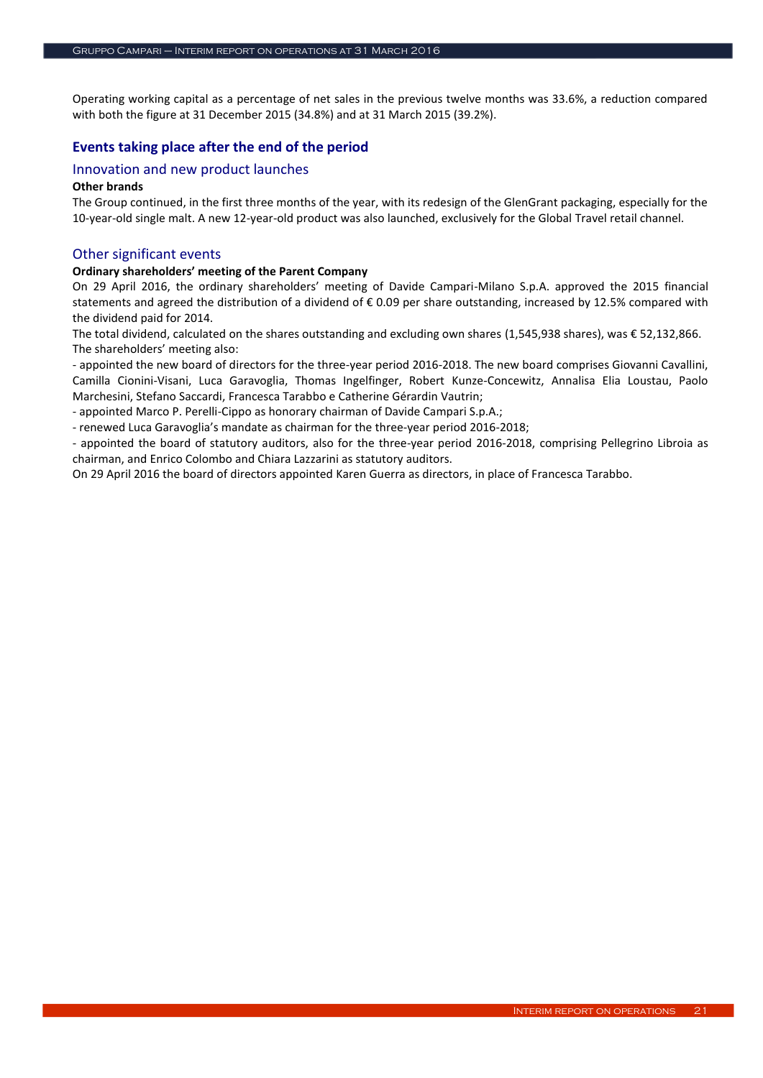Operating working capital as a percentage of net sales in the previous twelve months was 33.6%, a reduction compared with both the figure at 31 December 2015 (34.8%) and at 31 March 2015 (39.2%).

# **Events taking place after the end of the period**

# Innovation and new product launches

#### **Other brands**

The Group continued, in the first three months of the year, with its redesign of the GlenGrant packaging, especially for the 10-year-old single malt. A new 12-year-old product was also launched, exclusively for the Global Travel retail channel.

#### Other significant events

#### **Ordinary shareholders' meeting of the Parent Company**

On 29 April 2016, the ordinary shareholders' meeting of Davide Campari-Milano S.p.A. approved the 2015 financial statements and agreed the distribution of a dividend of € 0.09 per share outstanding, increased by 12.5% compared with the dividend paid for 2014.

The total dividend, calculated on the shares outstanding and excluding own shares (1,545,938 shares), was € 52,132,866. The shareholders' meeting also:

- appointed the new board of directors for the three-year period 2016-2018. The new board comprises Giovanni Cavallini, Camilla Cionini-Visani, Luca Garavoglia, Thomas Ingelfinger, Robert Kunze-Concewitz, Annalisa Elia Loustau, Paolo Marchesini, Stefano Saccardi, Francesca Tarabbo e Catherine Gérardin Vautrin;

- appointed Marco P. Perelli-Cippo as honorary chairman of Davide Campari S.p.A.;

- renewed Luca Garavoglia's mandate as chairman for the three-year period 2016-2018;

- appointed the board of statutory auditors, also for the three-year period 2016-2018, comprising Pellegrino Libroia as chairman, and Enrico Colombo and Chiara Lazzarini as statutory auditors.

On 29 April 2016 the board of directors appointed Karen Guerra as directors, in place of Francesca Tarabbo.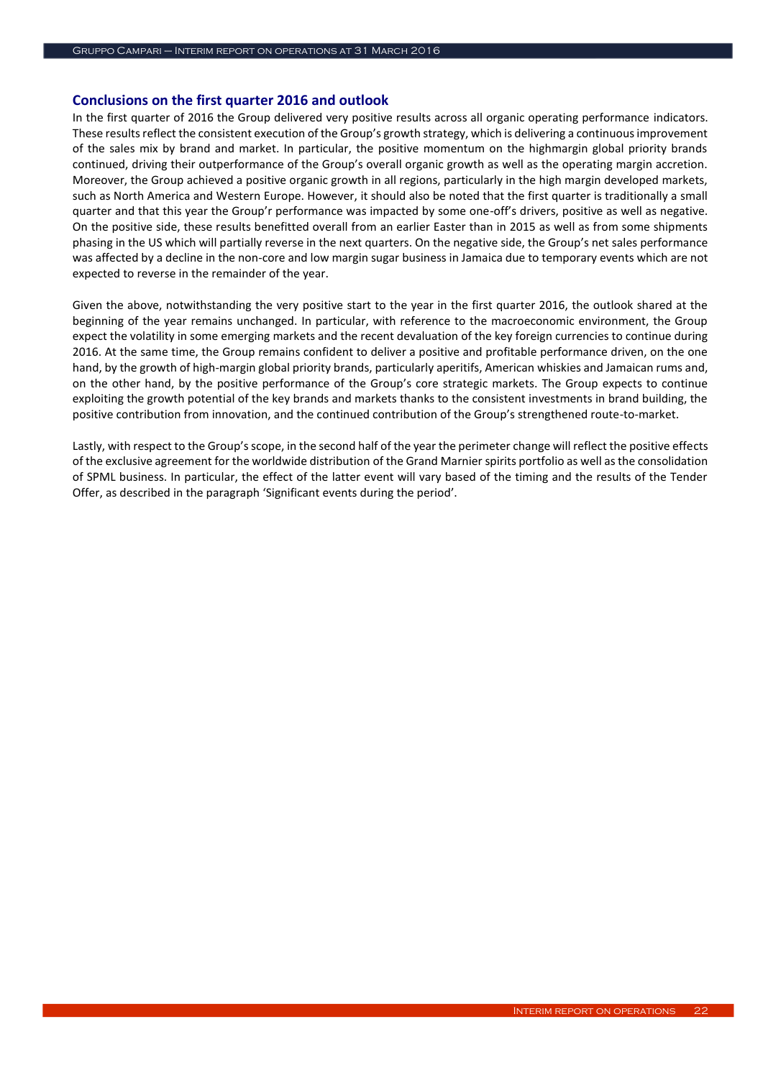# **Conclusions on the first quarter 2016 and outlook**

In the first quarter of 2016 the Group delivered very positive results across all organic operating performance indicators. These results reflect the consistent execution of the Group's growth strategy, which is delivering a continuous improvement of the sales mix by brand and market. In particular, the positive momentum on the highmargin global priority brands continued, driving their outperformance of the Group's overall organic growth as well as the operating margin accretion. Moreover, the Group achieved a positive organic growth in all regions, particularly in the high margin developed markets, such as North America and Western Europe. However, it should also be noted that the first quarter is traditionally a small quarter and that this year the Group'r performance was impacted by some one-off's drivers, positive as well as negative. On the positive side, these results benefitted overall from an earlier Easter than in 2015 as well as from some shipments phasing in the US which will partially reverse in the next quarters. On the negative side, the Group's net sales performance was affected by a decline in the non-core and low margin sugar business in Jamaica due to temporary events which are not expected to reverse in the remainder of the year.

Given the above, notwithstanding the very positive start to the year in the first quarter 2016, the outlook shared at the beginning of the year remains unchanged. In particular, with reference to the macroeconomic environment, the Group expect the volatility in some emerging markets and the recent devaluation of the key foreign currencies to continue during 2016. At the same time, the Group remains confident to deliver a positive and profitable performance driven, on the one hand, by the growth of high-margin global priority brands, particularly aperitifs, American whiskies and Jamaican rums and, on the other hand, by the positive performance of the Group's core strategic markets. The Group expects to continue exploiting the growth potential of the key brands and markets thanks to the consistent investments in brand building, the positive contribution from innovation, and the continued contribution of the Group's strengthened route-to-market.

Lastly, with respect to the Group's scope, in the second half of the year the perimeter change will reflect the positive effects of the exclusive agreement for the worldwide distribution of the Grand Marnier spirits portfolio as well as the consolidation of SPML business. In particular, the effect of the latter event will vary based of the timing and the results of the Tender Offer, as described in the paragraph 'Significant events during the period'.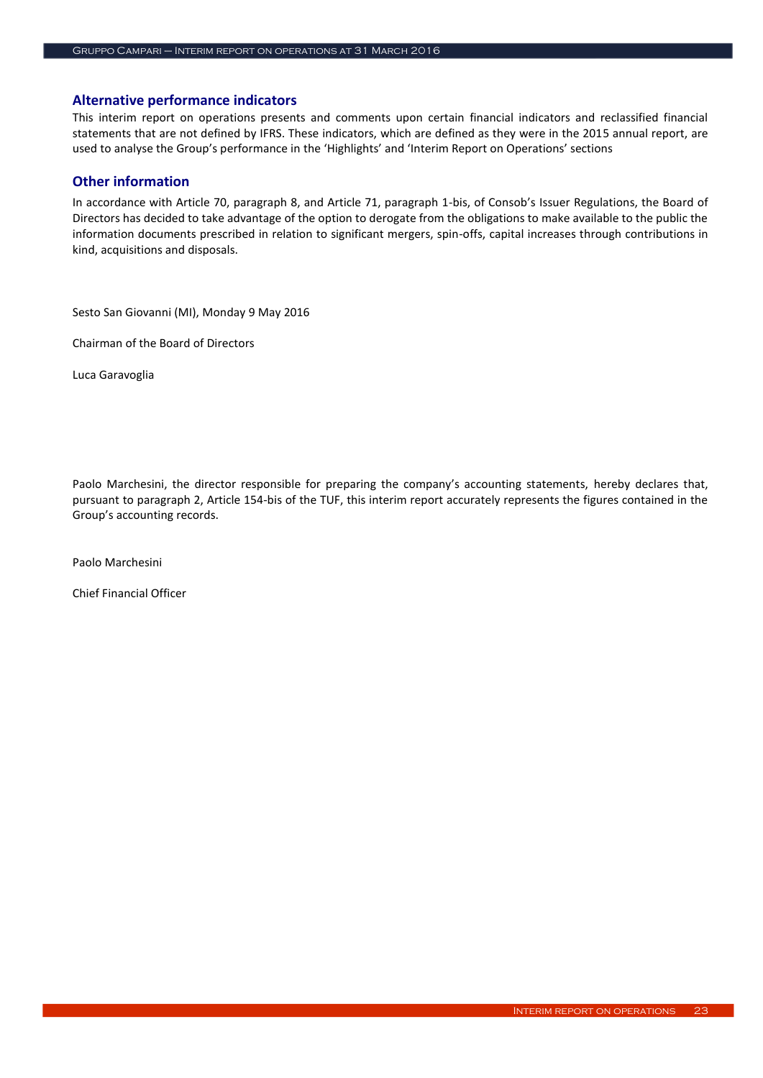# **Alternative performance indicators**

This interim report on operations presents and comments upon certain financial indicators and reclassified financial statements that are not defined by IFRS. These indicators, which are defined as they were in the 2015 annual report, are used to analyse the Group's performance in the 'Highlights' and 'Interim Report on Operations' sections

# **Other information**

In accordance with Article 70, paragraph 8, and Article 71, paragraph 1-bis, of Consob's Issuer Regulations, the Board of Directors has decided to take advantage of the option to derogate from the obligations to make available to the public the information documents prescribed in relation to significant mergers, spin-offs, capital increases through contributions in kind, acquisitions and disposals.

Sesto San Giovanni (MI), Monday 9 May 2016

Chairman of the Board of Directors

Luca Garavoglia

Paolo Marchesini, the director responsible for preparing the company's accounting statements, hereby declares that, pursuant to paragraph 2, Article 154-bis of the TUF, this interim report accurately represents the figures contained in the Group's accounting records.

Paolo Marchesini

Chief Financial Officer